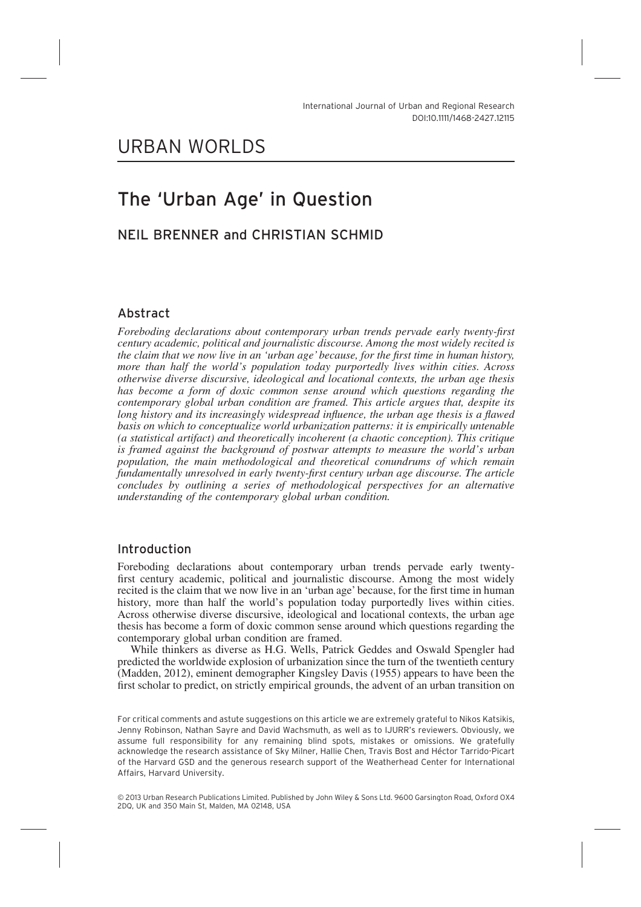# URBAN WORLDS

# The 'Urban Age' in Question

# NEIL BRENNER and CHRISTIAN SCHMID

## Abstract

*Foreboding declarations about contemporary urban trends pervade early twenty-first century academic, political and journalistic discourse. Among the most widely recited is the claim that we now live in an 'urban age' because, for the first time in human history, more than half the world's population today purportedly lives within cities. Across otherwise diverse discursive, ideological and locational contexts, the urban age thesis has become a form of doxic common sense around which questions regarding the contemporary global urban condition are framed. This article argues that, despite its long history and its increasingly widespread influence, the urban age thesis is a flawed basis on which to conceptualize world urbanization patterns: it is empirically untenable (a statistical artifact) and theoretically incoherent (a chaotic conception). This critique is framed against the background of postwar attempts to measure the world's urban population, the main methodological and theoretical conundrums of which remain fundamentally unresolved in early twenty-first century urban age discourse. The article concludes by outlining a series of methodological perspectives for an alternative understanding of the contemporary global urban condition.*

## Introduction

Foreboding declarations about contemporary urban trends pervade early twentyfirst century academic, political and journalistic discourse. Among the most widely recited is the claim that we now live in an 'urban age' because, for the first time in human history, more than half the world's population today purportedly lives within cities. Across otherwise diverse discursive, ideological and locational contexts, the urban age thesis has become a form of doxic common sense around which questions regarding the contemporary global urban condition are framed.

While thinkers as diverse as H.G. Wells, Patrick Geddes and Oswald Spengler had predicted the worldwide explosion of urbanization since the turn of the twentieth century (Madden, 2012), eminent demographer Kingsley Davis (1955) appears to have been the first scholar to predict, on strictly empirical grounds, the advent of an urban transition on

For critical comments and astute suggestions on this article we are extremely grateful to Nikos Katsikis, Jenny Robinson, Nathan Sayre and David Wachsmuth, as well as to IJURR's reviewers. Obviously, we assume full responsibility for any remaining blind spots, mistakes or omissions. We gratefully acknowledge the research assistance of Sky Milner, Hallie Chen, Travis Bost and Héctor Tarrido-Picart of the Harvard GSD and the generous research support of the Weatherhead Center for International Affairs, Harvard University.

© 2013 Urban Research Publications Limited. Published by John Wiley & Sons Ltd. 9600 Garsington Road, Oxford OX4 2DQ, UK and 350 Main St, Malden, MA 02148, USA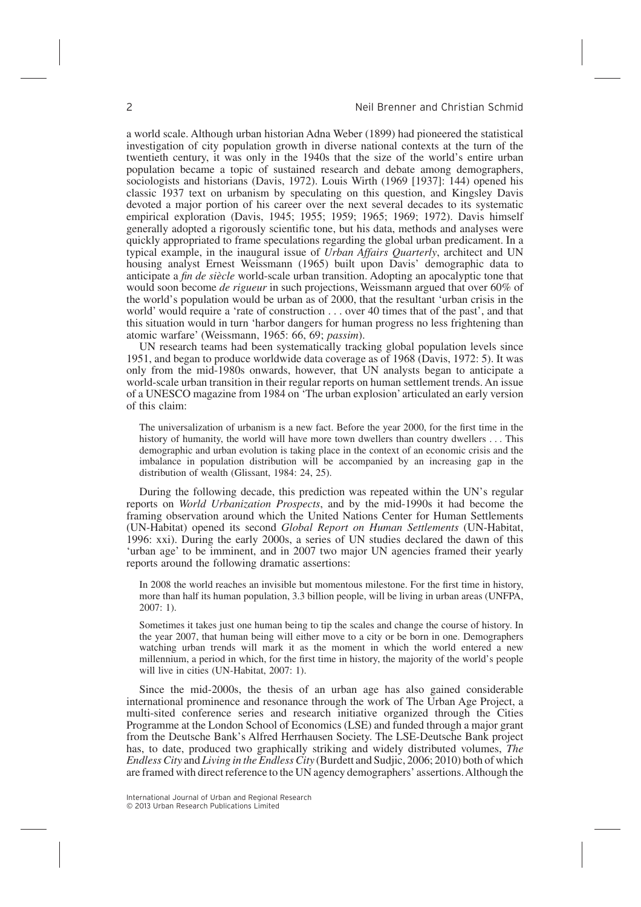a world scale. Although urban historian Adna Weber (1899) had pioneered the statistical investigation of city population growth in diverse national contexts at the turn of the twentieth century, it was only in the 1940s that the size of the world's entire urban population became a topic of sustained research and debate among demographers, sociologists and historians (Davis, 1972). Louis Wirth (1969 [1937]: 144) opened his classic 1937 text on urbanism by speculating on this question, and Kingsley Davis devoted a major portion of his career over the next several decades to its systematic empirical exploration (Davis, 1945; 1955; 1959; 1965; 1969; 1972). Davis himself generally adopted a rigorously scientific tone, but his data, methods and analyses were quickly appropriated to frame speculations regarding the global urban predicament. In a typical example, in the inaugural issue of *Urban Affairs Quarterly*, architect and UN housing analyst Ernest Weissmann (1965) built upon Davis' demographic data to anticipate a *fin de siècle* world-scale urban transition. Adopting an apocalyptic tone that would soon become *de rigueur* in such projections, Weissmann argued that over 60% of the world's population would be urban as of 2000, that the resultant 'urban crisis in the world' would require a 'rate of construction . . . over 40 times that of the past', and that this situation would in turn 'harbor dangers for human progress no less frightening than atomic warfare' (Weissmann, 1965: 66, 69; *passim*).

UN research teams had been systematically tracking global population levels since 1951, and began to produce worldwide data coverage as of 1968 (Davis, 1972: 5). It was only from the mid-1980s onwards, however, that UN analysts began to anticipate a world-scale urban transition in their regular reports on human settlement trends. An issue of a UNESCO magazine from 1984 on 'The urban explosion' articulated an early version of this claim:

The universalization of urbanism is a new fact. Before the year 2000, for the first time in the history of humanity, the world will have more town dwellers than country dwellers . . . This demographic and urban evolution is taking place in the context of an economic crisis and the imbalance in population distribution will be accompanied by an increasing gap in the distribution of wealth (Glissant, 1984: 24, 25).

During the following decade, this prediction was repeated within the UN's regular reports on *World Urbanization Prospects*, and by the mid-1990s it had become the framing observation around which the United Nations Center for Human Settlements (UN-Habitat) opened its second *Global Report on Human Settlements* (UN-Habitat, 1996: xxi). During the early 2000s, a series of UN studies declared the dawn of this 'urban age' to be imminent, and in 2007 two major UN agencies framed their yearly reports around the following dramatic assertions:

In 2008 the world reaches an invisible but momentous milestone. For the first time in history, more than half its human population, 3.3 billion people, will be living in urban areas (UNFPA, 2007: 1).

Sometimes it takes just one human being to tip the scales and change the course of history. In the year 2007, that human being will either move to a city or be born in one. Demographers watching urban trends will mark it as the moment in which the world entered a new millennium, a period in which, for the first time in history, the majority of the world's people will live in cities (UN-Habitat, 2007: 1).

Since the mid-2000s, the thesis of an urban age has also gained considerable international prominence and resonance through the work of The Urban Age Project, a multi-sited conference series and research initiative organized through the Cities Programme at the London School of Economics (LSE) and funded through a major grant from the Deutsche Bank's Alfred Herrhausen Society. The LSE-Deutsche Bank project has, to date, produced two graphically striking and widely distributed volumes, *The Endless City* and *Living in the Endless City* (Burdett and Sudjic, 2006; 2010) both of which are framed with direct reference to the UN agency demographers' assertions.Although the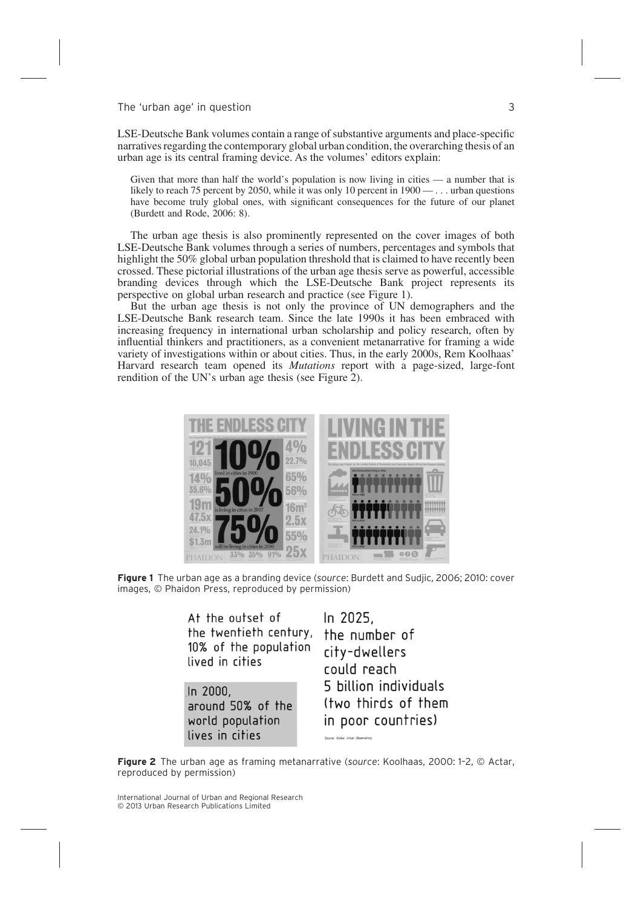LSE-Deutsche Bank volumes contain a range of substantive arguments and place-specific narratives regarding the contemporary global urban condition, the overarching thesis of an urban age is its central framing device. As the volumes' editors explain:

Given that more than half the world's population is now living in cities — a number that is likely to reach 75 percent by 2050, while it was only 10 percent in 1900 — . . . urban questions have become truly global ones, with significant consequences for the future of our planet (Burdett and Rode, 2006: 8).

The urban age thesis is also prominently represented on the cover images of both LSE-Deutsche Bank volumes through a series of numbers, percentages and symbols that highlight the 50% global urban population threshold that is claimed to have recently been crossed. These pictorial illustrations of the urban age thesis serve as powerful, accessible branding devices through which the LSE-Deutsche Bank project represents its perspective on global urban research and practice (see Figure 1).

But the urban age thesis is not only the province of UN demographers and the LSE-Deutsche Bank research team. Since the late 1990s it has been embraced with increasing frequency in international urban scholarship and policy research, often by influential thinkers and practitioners, as a convenient metanarrative for framing a wide variety of investigations within or about cities. Thus, in the early 2000s, Rem Koolhaas' Harvard research team opened its *Mutations* report with a page-sized, large-font rendition of the UN's urban age thesis (see Figure 2).



**Figure 1** The urban age as a branding device (*source*: Burdett and Sudjic, 2006; 2010: cover images, © Phaidon Press, reproduced by permission)

At the outset of the twentieth century, 10% of the population lived in cities

 $In 2000,$ around 50% of the world population lives in cities

In 2025. the number of city-dwellers could reach 5 billion individuals (two thirds of them in poor countries)

**Figure 2** The urban age as framing metanarrative (*source*: Koolhaas, 2000: 1–2, © Actar, reproduced by permission)

Source: Global Urban Observatory

International Journal of Urban and Regional Research © 2013 Urban Research Publications Limited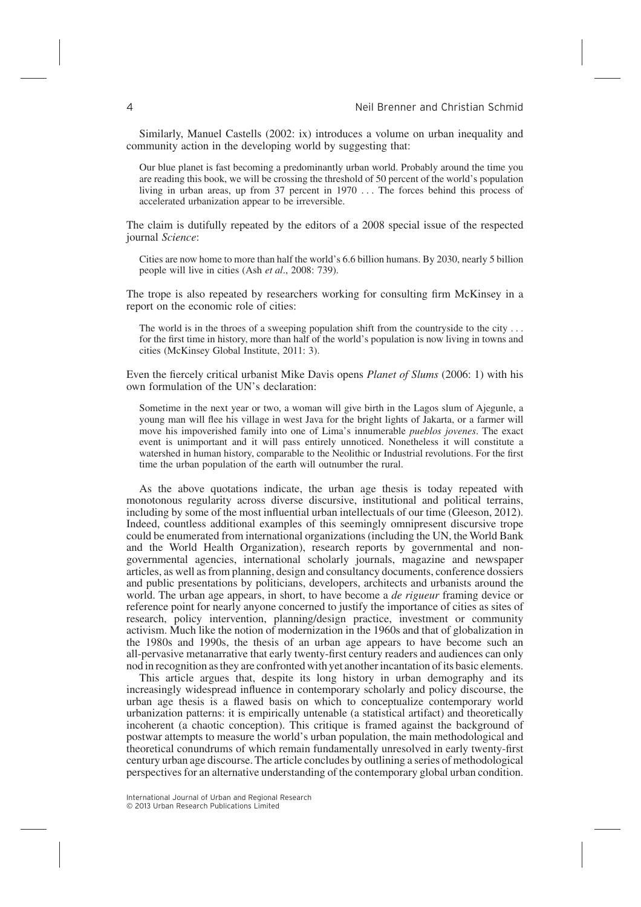Similarly, Manuel Castells (2002: ix) introduces a volume on urban inequality and community action in the developing world by suggesting that:

Our blue planet is fast becoming a predominantly urban world. Probably around the time you are reading this book, we will be crossing the threshold of 50 percent of the world's population living in urban areas, up from 37 percent in 1970 . . . The forces behind this process of accelerated urbanization appear to be irreversible.

The claim is dutifully repeated by the editors of a 2008 special issue of the respected journal *Science*:

Cities are now home to more than half the world's 6.6 billion humans. By 2030, nearly 5 billion people will live in cities (Ash *et al*., 2008: 739).

The trope is also repeated by researchers working for consulting firm McKinsey in a report on the economic role of cities:

The world is in the throes of a sweeping population shift from the countryside to the city  $\dots$ for the first time in history, more than half of the world's population is now living in towns and cities (McKinsey Global Institute, 2011: 3).

Even the fiercely critical urbanist Mike Davis opens *Planet of Slums* (2006: 1) with his own formulation of the UN's declaration:

Sometime in the next year or two, a woman will give birth in the Lagos slum of Ajegunle, a young man will flee his village in west Java for the bright lights of Jakarta, or a farmer will move his impoverished family into one of Lima's innumerable *pueblos jovenes*. The exact event is unimportant and it will pass entirely unnoticed. Nonetheless it will constitute a watershed in human history, comparable to the Neolithic or Industrial revolutions. For the first time the urban population of the earth will outnumber the rural.

As the above quotations indicate, the urban age thesis is today repeated with monotonous regularity across diverse discursive, institutional and political terrains, including by some of the most influential urban intellectuals of our time (Gleeson, 2012). Indeed, countless additional examples of this seemingly omnipresent discursive trope could be enumerated from international organizations (including the UN, the World Bank and the World Health Organization), research reports by governmental and nongovernmental agencies, international scholarly journals, magazine and newspaper articles, as well as from planning, design and consultancy documents, conference dossiers and public presentations by politicians, developers, architects and urbanists around the world. The urban age appears, in short, to have become a *de rigueur* framing device or reference point for nearly anyone concerned to justify the importance of cities as sites of research, policy intervention, planning/design practice, investment or community activism. Much like the notion of modernization in the 1960s and that of globalization in the 1980s and 1990s, the thesis of an urban age appears to have become such an all-pervasive metanarrative that early twenty-first century readers and audiences can only nod in recognition as they are confronted with yet another incantation of its basic elements.

This article argues that, despite its long history in urban demography and its increasingly widespread influence in contemporary scholarly and policy discourse, the urban age thesis is a flawed basis on which to conceptualize contemporary world urbanization patterns: it is empirically untenable (a statistical artifact) and theoretically incoherent (a chaotic conception). This critique is framed against the background of postwar attempts to measure the world's urban population, the main methodological and theoretical conundrums of which remain fundamentally unresolved in early twenty-first century urban age discourse. The article concludes by outlining a series of methodological perspectives for an alternative understanding of the contemporary global urban condition.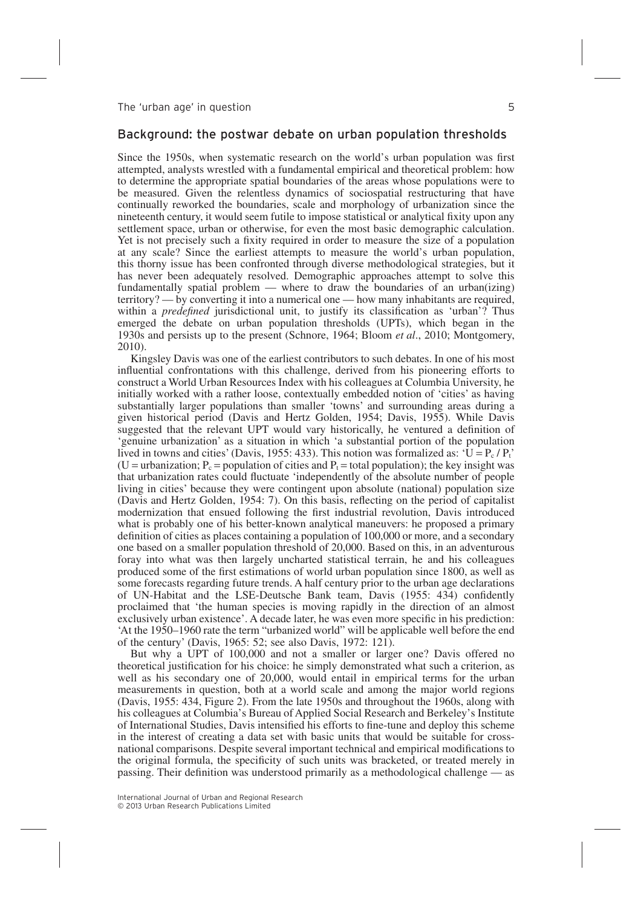#### Background: the postwar debate on urban population thresholds

Since the 1950s, when systematic research on the world's urban population was first attempted, analysts wrestled with a fundamental empirical and theoretical problem: how to determine the appropriate spatial boundaries of the areas whose populations were to be measured. Given the relentless dynamics of sociospatial restructuring that have continually reworked the boundaries, scale and morphology of urbanization since the nineteenth century, it would seem futile to impose statistical or analytical fixity upon any settlement space, urban or otherwise, for even the most basic demographic calculation. Yet is not precisely such a fixity required in order to measure the size of a population at any scale? Since the earliest attempts to measure the world's urban population, this thorny issue has been confronted through diverse methodological strategies, but it has never been adequately resolved. Demographic approaches attempt to solve this fundamentally spatial problem — where to draw the boundaries of an urban(izing) territory? — by converting it into a numerical one — how many inhabitants are required, within a *predefined* jurisdictional unit, to justify its classification as 'urban'? Thus emerged the debate on urban population thresholds (UPTs), which began in the 1930s and persists up to the present (Schnore, 1964; Bloom *et al*., 2010; Montgomery, 2010).

Kingsley Davis was one of the earliest contributors to such debates. In one of his most influential confrontations with this challenge, derived from his pioneering efforts to construct a World Urban Resources Index with his colleagues at Columbia University, he initially worked with a rather loose, contextually embedded notion of 'cities' as having substantially larger populations than smaller 'towns' and surrounding areas during a given historical period (Davis and Hertz Golden, 1954; Davis, 1955). While Davis suggested that the relevant UPT would vary historically, he ventured a definition of 'genuine urbanization' as a situation in which 'a substantial portion of the population lived in towns and cities' (Davis, 1955: 433). This notion was formalized as: ' $U = P_c / P_t$ ' (U = urbanization;  $P_c$  = population of cities and  $P_t$  = total population); the key insight was that urbanization rates could fluctuate 'independently of the absolute number of people living in cities' because they were contingent upon absolute (national) population size (Davis and Hertz Golden, 1954: 7). On this basis, reflecting on the period of capitalist modernization that ensued following the first industrial revolution, Davis introduced what is probably one of his better-known analytical maneuvers: he proposed a primary definition of cities as places containing a population of 100,000 or more, and a secondary one based on a smaller population threshold of 20,000. Based on this, in an adventurous foray into what was then largely uncharted statistical terrain, he and his colleagues produced some of the first estimations of world urban population since 1800, as well as some forecasts regarding future trends. A half century prior to the urban age declarations of UN-Habitat and the LSE-Deutsche Bank team, Davis (1955: 434) confidently proclaimed that 'the human species is moving rapidly in the direction of an almost exclusively urban existence'. A decade later, he was even more specific in his prediction: 'At the 1950–1960 rate the term "urbanized world" will be applicable well before the end of the century' (Davis, 1965: 52; see also Davis, 1972: 121).

But why a UPT of 100,000 and not a smaller or larger one? Davis offered no theoretical justification for his choice: he simply demonstrated what such a criterion, as well as his secondary one of 20,000, would entail in empirical terms for the urban measurements in question, both at a world scale and among the major world regions (Davis, 1955: 434, Figure 2). From the late 1950s and throughout the 1960s, along with his colleagues at Columbia's Bureau of Applied Social Research and Berkeley's Institute of International Studies, Davis intensified his efforts to fine-tune and deploy this scheme in the interest of creating a data set with basic units that would be suitable for crossnational comparisons. Despite several important technical and empirical modifications to the original formula, the specificity of such units was bracketed, or treated merely in passing. Their definition was understood primarily as a methodological challenge — as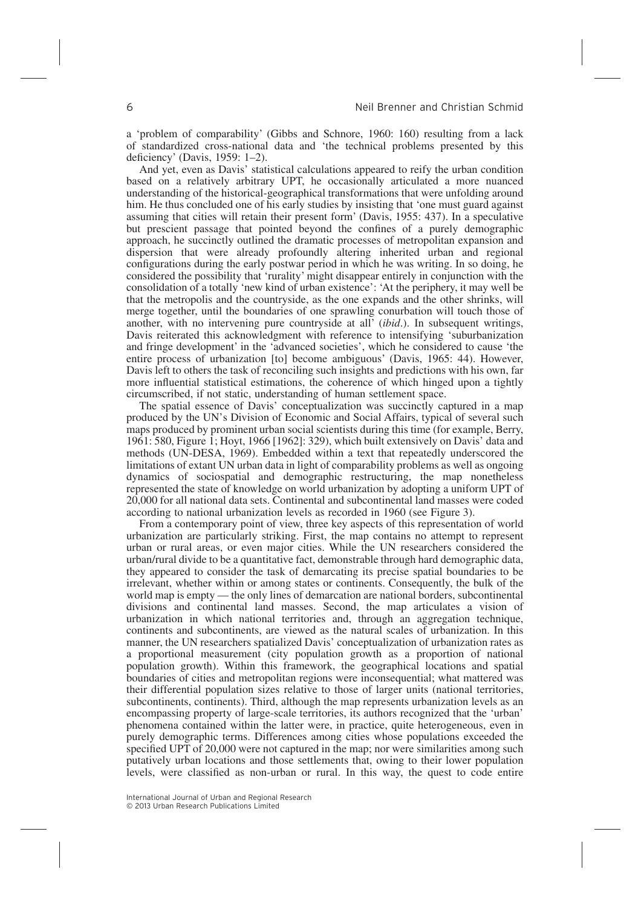a 'problem of comparability' (Gibbs and Schnore, 1960: 160) resulting from a lack of standardized cross-national data and 'the technical problems presented by this deficiency' (Davis, 1959: 1–2).

And yet, even as Davis' statistical calculations appeared to reify the urban condition based on a relatively arbitrary UPT, he occasionally articulated a more nuanced understanding of the historical-geographical transformations that were unfolding around him. He thus concluded one of his early studies by insisting that 'one must guard against assuming that cities will retain their present form' (Davis, 1955: 437). In a speculative but prescient passage that pointed beyond the confines of a purely demographic approach, he succinctly outlined the dramatic processes of metropolitan expansion and dispersion that were already profoundly altering inherited urban and regional configurations during the early postwar period in which he was writing. In so doing, he considered the possibility that 'rurality' might disappear entirely in conjunction with the consolidation of a totally 'new kind of urban existence': 'At the periphery, it may well be that the metropolis and the countryside, as the one expands and the other shrinks, will merge together, until the boundaries of one sprawling conurbation will touch those of another, with no intervening pure countryside at all' (*ibid*.). In subsequent writings, Davis reiterated this acknowledgment with reference to intensifying 'suburbanization and fringe development' in the 'advanced societies', which he considered to cause 'the entire process of urbanization [to] become ambiguous' (Davis, 1965: 44). However, Davis left to others the task of reconciling such insights and predictions with his own, far more influential statistical estimations, the coherence of which hinged upon a tightly circumscribed, if not static, understanding of human settlement space.

The spatial essence of Davis' conceptualization was succinctly captured in a map produced by the UN's Division of Economic and Social Affairs, typical of several such maps produced by prominent urban social scientists during this time (for example, Berry, 1961: 580, Figure 1; Hoyt, 1966 [1962]: 329), which built extensively on Davis' data and methods (UN-DESA, 1969). Embedded within a text that repeatedly underscored the limitations of extant UN urban data in light of comparability problems as well as ongoing dynamics of sociospatial and demographic restructuring, the map nonetheless represented the state of knowledge on world urbanization by adopting a uniform UPT of 20,000 for all national data sets. Continental and subcontinental land masses were coded according to national urbanization levels as recorded in 1960 (see Figure 3).

From a contemporary point of view, three key aspects of this representation of world urbanization are particularly striking. First, the map contains no attempt to represent urban or rural areas, or even major cities. While the UN researchers considered the urban/rural divide to be a quantitative fact, demonstrable through hard demographic data, they appeared to consider the task of demarcating its precise spatial boundaries to be irrelevant, whether within or among states or continents. Consequently, the bulk of the world map is empty — the only lines of demarcation are national borders, subcontinental divisions and continental land masses. Second, the map articulates a vision of urbanization in which national territories and, through an aggregation technique, continents and subcontinents, are viewed as the natural scales of urbanization. In this manner, the UN researchers spatialized Davis' conceptualization of urbanization rates as a proportional measurement (city population growth as a proportion of national population growth). Within this framework, the geographical locations and spatial boundaries of cities and metropolitan regions were inconsequential; what mattered was their differential population sizes relative to those of larger units (national territories, subcontinents, continents). Third, although the map represents urbanization levels as an encompassing property of large-scale territories, its authors recognized that the 'urban' phenomena contained within the latter were, in practice, quite heterogeneous, even in purely demographic terms. Differences among cities whose populations exceeded the specified UPT of 20,000 were not captured in the map; nor were similarities among such putatively urban locations and those settlements that, owing to their lower population levels, were classified as non-urban or rural. In this way, the quest to code entire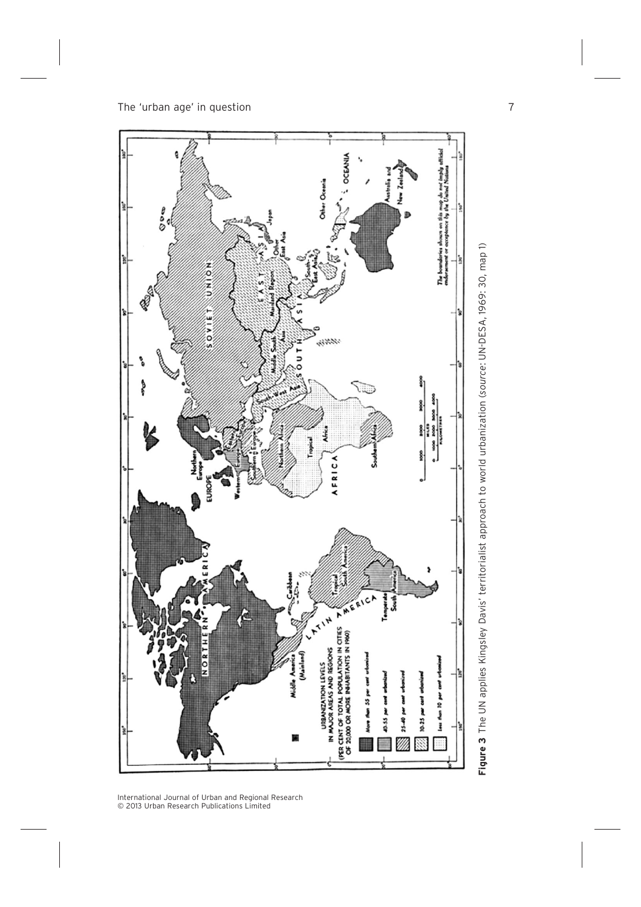

International Journal of Urban and Regional Research © 2013 Urban Research Publications Limited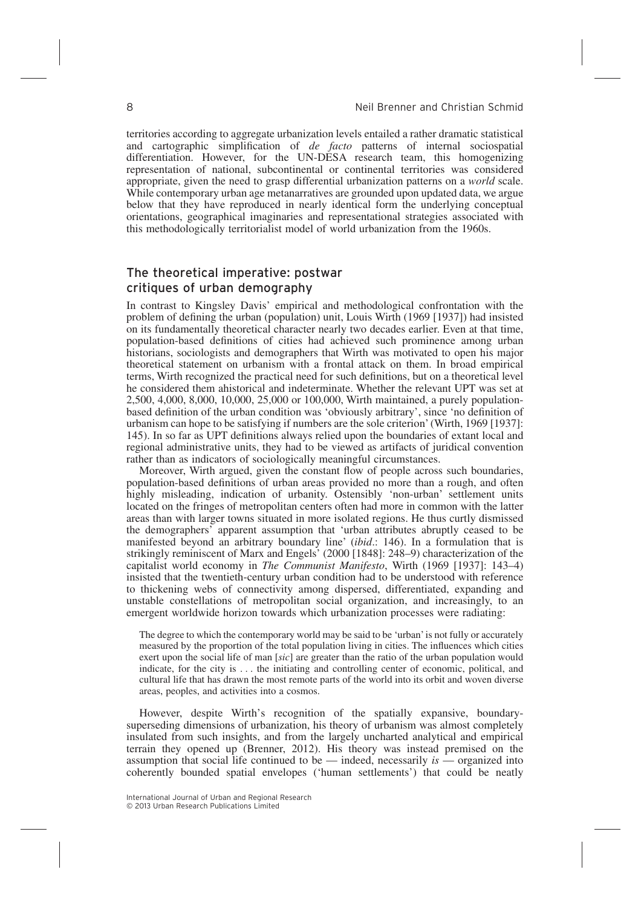territories according to aggregate urbanization levels entailed a rather dramatic statistical and cartographic simplification of *de facto* patterns of internal sociospatial differentiation. However, for the UN-DESA research team, this homogenizing representation of national, subcontinental or continental territories was considered appropriate, given the need to grasp differential urbanization patterns on a *world* scale. While contemporary urban age metanarratives are grounded upon updated data, we argue below that they have reproduced in nearly identical form the underlying conceptual orientations, geographical imaginaries and representational strategies associated with this methodologically territorialist model of world urbanization from the 1960s.

# The theoretical imperative: postwar critiques of urban demography

In contrast to Kingsley Davis' empirical and methodological confrontation with the problem of defining the urban (population) unit, Louis Wirth (1969 [1937]) had insisted on its fundamentally theoretical character nearly two decades earlier. Even at that time, population-based definitions of cities had achieved such prominence among urban historians, sociologists and demographers that Wirth was motivated to open his major theoretical statement on urbanism with a frontal attack on them. In broad empirical terms, Wirth recognized the practical need for such definitions, but on a theoretical level he considered them ahistorical and indeterminate. Whether the relevant UPT was set at 2,500, 4,000, 8,000, 10,000, 25,000 or 100,000, Wirth maintained, a purely populationbased definition of the urban condition was 'obviously arbitrary', since 'no definition of urbanism can hope to be satisfying if numbers are the sole criterion' (Wirth, 1969 [1937]: 145). In so far as UPT definitions always relied upon the boundaries of extant local and regional administrative units, they had to be viewed as artifacts of juridical convention rather than as indicators of sociologically meaningful circumstances.

Moreover, Wirth argued, given the constant flow of people across such boundaries, population-based definitions of urban areas provided no more than a rough, and often highly misleading, indication of urbanity. Ostensibly 'non-urban' settlement units located on the fringes of metropolitan centers often had more in common with the latter areas than with larger towns situated in more isolated regions. He thus curtly dismissed the demographers' apparent assumption that 'urban attributes abruptly ceased to be manifested beyond an arbitrary boundary line' (*ibid*.: 146). In a formulation that is strikingly reminiscent of Marx and Engels' (2000 [1848]: 248–9) characterization of the capitalist world economy in *The Communist Manifesto*, Wirth (1969 [1937]: 143–4) insisted that the twentieth-century urban condition had to be understood with reference to thickening webs of connectivity among dispersed, differentiated, expanding and unstable constellations of metropolitan social organization, and increasingly, to an emergent worldwide horizon towards which urbanization processes were radiating:

The degree to which the contemporary world may be said to be 'urban'is not fully or accurately measured by the proportion of the total population living in cities. The influences which cities exert upon the social life of man [*sic*] are greater than the ratio of the urban population would indicate, for the city is . . . the initiating and controlling center of economic, political, and cultural life that has drawn the most remote parts of the world into its orbit and woven diverse areas, peoples, and activities into a cosmos.

However, despite Wirth's recognition of the spatially expansive, boundarysuperseding dimensions of urbanization, his theory of urbanism was almost completely insulated from such insights, and from the largely uncharted analytical and empirical terrain they opened up (Brenner, 2012). His theory was instead premised on the assumption that social life continued to be — indeed, necessarily *is* — organized into coherently bounded spatial envelopes ('human settlements') that could be neatly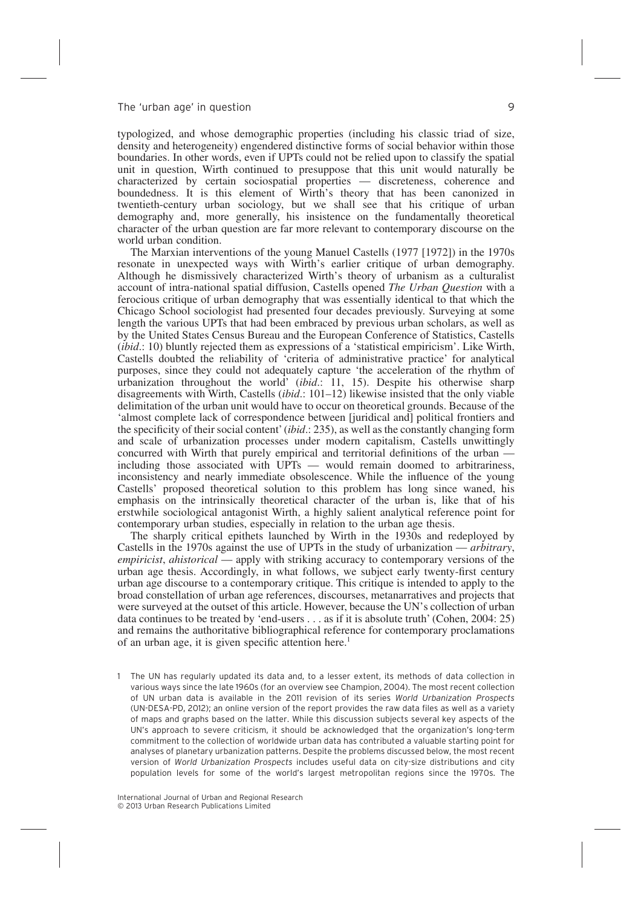### The 'urban age' in question example and the set of the set of the set of the set of the set of the set of the set of the set of the set of the set of the set of the set of the set of the set of the set of the set of the se

typologized, and whose demographic properties (including his classic triad of size, density and heterogeneity) engendered distinctive forms of social behavior within those boundaries. In other words, even if UPTs could not be relied upon to classify the spatial unit in question, Wirth continued to presuppose that this unit would naturally be characterized by certain sociospatial properties — discreteness, coherence and boundedness. It is this element of Wirth's theory that has been canonized in twentieth-century urban sociology, but we shall see that his critique of urban demography and, more generally, his insistence on the fundamentally theoretical character of the urban question are far more relevant to contemporary discourse on the world urban condition.

The Marxian interventions of the young Manuel Castells (1977 [1972]) in the 1970s resonate in unexpected ways with Wirth's earlier critique of urban demography. Although he dismissively characterized Wirth's theory of urbanism as a culturalist account of intra-national spatial diffusion, Castells opened *The Urban Question* with a ferocious critique of urban demography that was essentially identical to that which the Chicago School sociologist had presented four decades previously. Surveying at some length the various UPTs that had been embraced by previous urban scholars, as well as by the United States Census Bureau and the European Conference of Statistics, Castells (*ibid*.: 10) bluntly rejected them as expressions of a 'statistical empiricism'. Like Wirth, Castells doubted the reliability of 'criteria of administrative practice' for analytical purposes, since they could not adequately capture 'the acceleration of the rhythm of urbanization throughout the world' (*ibid*.: 11, 15). Despite his otherwise sharp disagreements with Wirth, Castells (*ibid*.: 101–12) likewise insisted that the only viable delimitation of the urban unit would have to occur on theoretical grounds. Because of the 'almost complete lack of correspondence between [juridical and] political frontiers and the specificity of their social content' (*ibid*.: 235), as well as the constantly changing form and scale of urbanization processes under modern capitalism, Castells unwittingly concurred with Wirth that purely empirical and territorial definitions of the urban including those associated with UPTs — would remain doomed to arbitrariness, inconsistency and nearly immediate obsolescence. While the influence of the young Castells' proposed theoretical solution to this problem has long since waned, his emphasis on the intrinsically theoretical character of the urban is, like that of his erstwhile sociological antagonist Wirth, a highly salient analytical reference point for contemporary urban studies, especially in relation to the urban age thesis.

The sharply critical epithets launched by Wirth in the 1930s and redeployed by Castells in the 1970s against the use of UPTs in the study of urbanization — *arbitrary*, *empiricist*, *ahistorical* — apply with striking accuracy to contemporary versions of the urban age thesis. Accordingly, in what follows, we subject early twenty-first century urban age discourse to a contemporary critique. This critique is intended to apply to the broad constellation of urban age references, discourses, metanarratives and projects that were surveyed at the outset of this article. However, because the UN's collection of urban data continues to be treated by 'end-users . . . as if it is absolute truth' (Cohen, 2004: 25) and remains the authoritative bibliographical reference for contemporary proclamations of an urban age, it is given specific attention here.<sup>1</sup>

1 The UN has regularly updated its data and, to a lesser extent, its methods of data collection in various ways since the late 1960s (for an overview see Champion, 2004). The most recent collection of UN urban data is available in the 2011 revision of its series *World Urbanization Prospects* (UN-DESA-PD, 2012); an online version of the report provides the raw data files as well as a variety of maps and graphs based on the latter. While this discussion subjects several key aspects of the UN's approach to severe criticism, it should be acknowledged that the organization's long-term commitment to the collection of worldwide urban data has contributed a valuable starting point for analyses of planetary urbanization patterns. Despite the problems discussed below, the most recent version of *World Urbanization Prospects* includes useful data on city-size distributions and city population levels for some of the world's largest metropolitan regions since the 1970s. The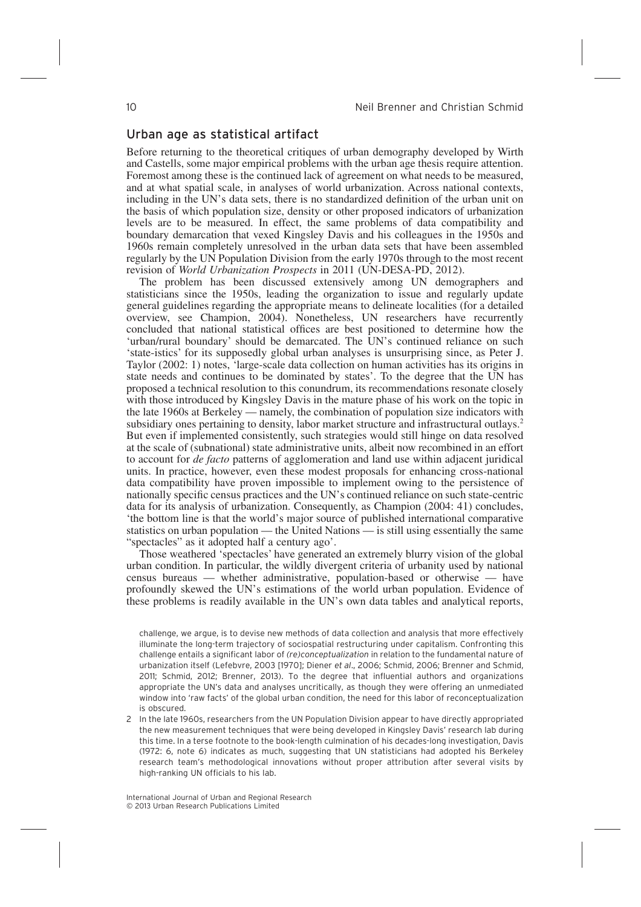### Urban age as statistical artifact

Before returning to the theoretical critiques of urban demography developed by Wirth and Castells, some major empirical problems with the urban age thesis require attention. Foremost among these is the continued lack of agreement on what needs to be measured, and at what spatial scale, in analyses of world urbanization. Across national contexts, including in the UN's data sets, there is no standardized definition of the urban unit on the basis of which population size, density or other proposed indicators of urbanization levels are to be measured. In effect, the same problems of data compatibility and boundary demarcation that vexed Kingsley Davis and his colleagues in the 1950s and 1960s remain completely unresolved in the urban data sets that have been assembled regularly by the UN Population Division from the early 1970s through to the most recent revision of *World Urbanization Prospects* in 2011 (UN-DESA-PD, 2012).

The problem has been discussed extensively among UN demographers and statisticians since the 1950s, leading the organization to issue and regularly update general guidelines regarding the appropriate means to delineate localities (for a detailed overview, see Champion, 2004). Nonetheless, UN researchers have recurrently concluded that national statistical offices are best positioned to determine how the 'urban/rural boundary' should be demarcated. The UN's continued reliance on such 'state-istics' for its supposedly global urban analyses is unsurprising since, as Peter J. Taylor (2002: 1) notes, 'large-scale data collection on human activities has its origins in state needs and continues to be dominated by states'. To the degree that the UN has proposed a technical resolution to this conundrum, its recommendations resonate closely with those introduced by Kingsley Davis in the mature phase of his work on the topic in the late 1960s at Berkeley — namely, the combination of population size indicators with subsidiary ones pertaining to density, labor market structure and infrastructural outlays.<sup>2</sup> But even if implemented consistently, such strategies would still hinge on data resolved at the scale of (subnational) state administrative units, albeit now recombined in an effort to account for *de facto* patterns of agglomeration and land use within adjacent juridical units. In practice, however, even these modest proposals for enhancing cross-national data compatibility have proven impossible to implement owing to the persistence of nationally specific census practices and the UN's continued reliance on such state-centric data for its analysis of urbanization. Consequently, as Champion (2004: 41) concludes, 'the bottom line is that the world's major source of published international comparative statistics on urban population — the United Nations — is still using essentially the same "spectacles" as it adopted half a century ago'.

Those weathered 'spectacles' have generated an extremely blurry vision of the global urban condition. In particular, the wildly divergent criteria of urbanity used by national census bureaus — whether administrative, population-based or otherwise — have profoundly skewed the UN's estimations of the world urban population. Evidence of these problems is readily available in the UN's own data tables and analytical reports,

2 In the late 1960s, researchers from the UN Population Division appear to have directly appropriated the new measurement techniques that were being developed in Kingsley Davis' research lab during this time. In a terse footnote to the book-length culmination of his decades-long investigation, Davis (1972: 6, note 6) indicates as much, suggesting that UN statisticians had adopted his Berkeley research team's methodological innovations without proper attribution after several visits by high-ranking UN officials to his lab.

challenge, we argue, is to devise new methods of data collection and analysis that more effectively illuminate the long-term trajectory of sociospatial restructuring under capitalism. Confronting this challenge entails a significant labor of *(re)conceptualization* in relation to the fundamental nature of urbanization itself (Lefebvre, 2003 [1970]; Diener *et al*., 2006; Schmid, 2006; Brenner and Schmid, 2011; Schmid, 2012; Brenner, 2013). To the degree that influential authors and organizations appropriate the UN's data and analyses uncritically, as though they were offering an unmediated window into 'raw facts' of the global urban condition, the need for this labor of reconceptualization is obscured.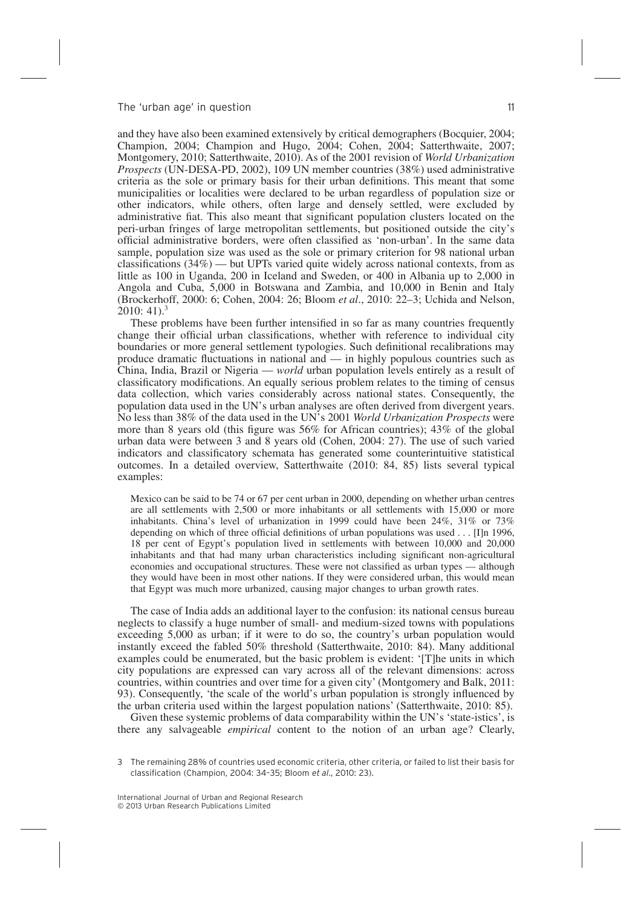and they have also been examined extensively by critical demographers (Bocquier, 2004; Champion, 2004; Champion and Hugo, 2004; Cohen, 2004; Satterthwaite, 2007; Montgomery, 2010; Satterthwaite, 2010). As of the 2001 revision of *World Urbanization Prospects* (UN-DESA-PD, 2002), 109 UN member countries (38%) used administrative criteria as the sole or primary basis for their urban definitions. This meant that some municipalities or localities were declared to be urban regardless of population size or other indicators, while others, often large and densely settled, were excluded by administrative fiat. This also meant that significant population clusters located on the peri-urban fringes of large metropolitan settlements, but positioned outside the city's official administrative borders, were often classified as 'non-urban'. In the same data sample, population size was used as the sole or primary criterion for 98 national urban classifications  $(34%)$  — but UPTs varied quite widely across national contexts, from as little as 100 in Uganda, 200 in Iceland and Sweden, or 400 in Albania up to 2,000 in Angola and Cuba, 5,000 in Botswana and Zambia, and 10,000 in Benin and Italy (Brockerhoff, 2000: 6; Cohen, 2004: 26; Bloom *et al*., 2010: 22–3; Uchida and Nelson,  $2010:41$ .<sup>3</sup>

These problems have been further intensified in so far as many countries frequently change their official urban classifications, whether with reference to individual city boundaries or more general settlement typologies. Such definitional recalibrations may produce dramatic fluctuations in national and — in highly populous countries such as China, India, Brazil or Nigeria — *world* urban population levels entirely as a result of classificatory modifications. An equally serious problem relates to the timing of census data collection, which varies considerably across national states. Consequently, the population data used in the UN's urban analyses are often derived from divergent years. No less than 38% of the data used in the UN's 2001 *World Urbanization Prospects* were more than 8 years old (this figure was 56% for African countries); 43% of the global urban data were between 3 and 8 years old (Cohen, 2004: 27). The use of such varied indicators and classificatory schemata has generated some counterintuitive statistical outcomes. In a detailed overview, Satterthwaite (2010: 84, 85) lists several typical examples:

Mexico can be said to be 74 or 67 per cent urban in 2000, depending on whether urban centres are all settlements with 2,500 or more inhabitants or all settlements with 15,000 or more inhabitants. China's level of urbanization in 1999 could have been 24%, 31% or 73% depending on which of three official definitions of urban populations was used . . . [I]n 1996, 18 per cent of Egypt's population lived in settlements with between 10,000 and 20,000 inhabitants and that had many urban characteristics including significant non-agricultural economies and occupational structures. These were not classified as urban types — although they would have been in most other nations. If they were considered urban, this would mean that Egypt was much more urbanized, causing major changes to urban growth rates.

The case of India adds an additional layer to the confusion: its national census bureau neglects to classify a huge number of small- and medium-sized towns with populations exceeding 5,000 as urban; if it were to do so, the country's urban population would instantly exceed the fabled 50% threshold (Satterthwaite, 2010: 84). Many additional examples could be enumerated, but the basic problem is evident: '[T]he units in which city populations are expressed can vary across all of the relevant dimensions: across countries, within countries and over time for a given city' (Montgomery and Balk, 2011: 93). Consequently, 'the scale of the world's urban population is strongly influenced by the urban criteria used within the largest population nations' (Satterthwaite, 2010: 85).

Given these systemic problems of data comparability within the UN's 'state-istics', is there any salvageable *empirical* content to the notion of an urban age? Clearly,

International Journal of Urban and Regional Research © 2013 Urban Research Publications Limited

<sup>3</sup> The remaining 28% of countries used economic criteria, other criteria, or failed to list their basis for classification (Champion, 2004: 34–35; Bloom *et al*., 2010: 23).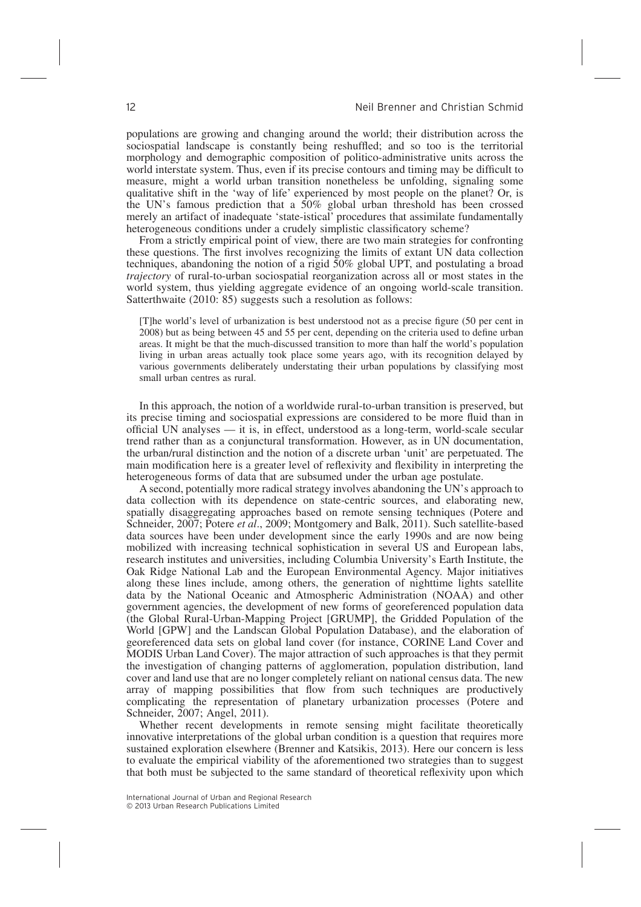populations are growing and changing around the world; their distribution across the sociospatial landscape is constantly being reshuffled; and so too is the territorial morphology and demographic composition of politico-administrative units across the world interstate system. Thus, even if its precise contours and timing may be difficult to measure, might a world urban transition nonetheless be unfolding, signaling some qualitative shift in the 'way of life' experienced by most people on the planet? Or, is the UN's famous prediction that a 50% global urban threshold has been crossed merely an artifact of inadequate 'state-istical' procedures that assimilate fundamentally heterogeneous conditions under a crudely simplistic classificatory scheme?

From a strictly empirical point of view, there are two main strategies for confronting these questions. The first involves recognizing the limits of extant UN data collection techniques, abandoning the notion of a rigid 50% global UPT, and postulating a broad *trajectory* of rural-to-urban sociospatial reorganization across all or most states in the world system, thus yielding aggregate evidence of an ongoing world-scale transition. Satterthwaite (2010: 85) suggests such a resolution as follows:

[T]he world's level of urbanization is best understood not as a precise figure (50 per cent in 2008) but as being between 45 and 55 per cent, depending on the criteria used to define urban areas. It might be that the much-discussed transition to more than half the world's population living in urban areas actually took place some years ago, with its recognition delayed by various governments deliberately understating their urban populations by classifying most small urban centres as rural.

In this approach, the notion of a worldwide rural-to-urban transition is preserved, but its precise timing and sociospatial expressions are considered to be more fluid than in official UN analyses — it is, in effect, understood as a long-term, world-scale secular trend rather than as a conjunctural transformation. However, as in UN documentation, the urban/rural distinction and the notion of a discrete urban 'unit' are perpetuated. The main modification here is a greater level of reflexivity and flexibility in interpreting the heterogeneous forms of data that are subsumed under the urban age postulate.

A second, potentially more radical strategy involves abandoning the UN's approach to data collection with its dependence on state-centric sources, and elaborating new, spatially disaggregating approaches based on remote sensing techniques (Potere and Schneider, 2007; Potere *et al*., 2009; Montgomery and Balk, 2011). Such satellite-based data sources have been under development since the early 1990s and are now being mobilized with increasing technical sophistication in several US and European labs, research institutes and universities, including Columbia University's Earth Institute, the Oak Ridge National Lab and the European Environmental Agency. Major initiatives along these lines include, among others, the generation of nighttime lights satellite data by the National Oceanic and Atmospheric Administration (NOAA) and other government agencies, the development of new forms of georeferenced population data (the Global Rural-Urban-Mapping Project [GRUMP], the Gridded Population of the World [GPW] and the Landscan Global Population Database), and the elaboration of georeferenced data sets on global land cover (for instance, CORINE Land Cover and MODIS Urban Land Cover). The major attraction of such approaches is that they permit the investigation of changing patterns of agglomeration, population distribution, land cover and land use that are no longer completely reliant on national census data. The new array of mapping possibilities that flow from such techniques are productively complicating the representation of planetary urbanization processes (Potere and Schneider, 2007; Angel, 2011).

Whether recent developments in remote sensing might facilitate theoretically innovative interpretations of the global urban condition is a question that requires more sustained exploration elsewhere (Brenner and Katsikis, 2013). Here our concern is less to evaluate the empirical viability of the aforementioned two strategies than to suggest that both must be subjected to the same standard of theoretical reflexivity upon which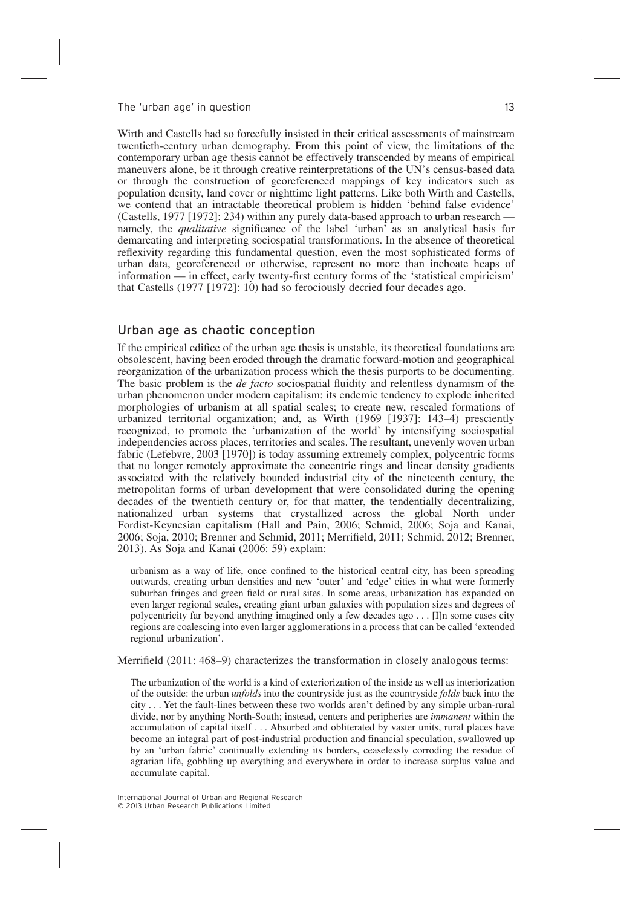Wirth and Castells had so forcefully insisted in their critical assessments of mainstream twentieth-century urban demography. From this point of view, the limitations of the contemporary urban age thesis cannot be effectively transcended by means of empirical maneuvers alone, be it through creative reinterpretations of the UN's census-based data or through the construction of georeferenced mappings of key indicators such as population density, land cover or nighttime light patterns. Like both Wirth and Castells, we contend that an intractable theoretical problem is hidden 'behind false evidence' (Castells, 1977 [1972]: 234) within any purely data-based approach to urban research namely, the *qualitative* significance of the label 'urban' as an analytical basis for demarcating and interpreting sociospatial transformations. In the absence of theoretical reflexivity regarding this fundamental question, even the most sophisticated forms of urban data, georeferenced or otherwise, represent no more than inchoate heaps of information — in effect, early twenty-first century forms of the 'statistical empiricism' that Castells (1977 [1972]: 10) had so ferociously decried four decades ago.

## Urban age as chaotic conception

If the empirical edifice of the urban age thesis is unstable, its theoretical foundations are obsolescent, having been eroded through the dramatic forward-motion and geographical reorganization of the urbanization process which the thesis purports to be documenting. The basic problem is the *de facto* sociospatial fluidity and relentless dynamism of the urban phenomenon under modern capitalism: its endemic tendency to explode inherited morphologies of urbanism at all spatial scales; to create new, rescaled formations of urbanized territorial organization; and, as Wirth (1969 [1937]: 143–4) presciently recognized, to promote the 'urbanization of the world' by intensifying sociospatial independencies across places, territories and scales. The resultant, unevenly woven urban fabric (Lefebvre, 2003 [1970]) is today assuming extremely complex, polycentric forms that no longer remotely approximate the concentric rings and linear density gradients associated with the relatively bounded industrial city of the nineteenth century, the metropolitan forms of urban development that were consolidated during the opening decades of the twentieth century or, for that matter, the tendentially decentralizing, nationalized urban systems that crystallized across the global North under Fordist-Keynesian capitalism (Hall and Pain, 2006; Schmid, 2006; Soja and Kanai, 2006; Soja, 2010; Brenner and Schmid, 2011; Merrifield, 2011; Schmid, 2012; Brenner, 2013). As Soja and Kanai (2006: 59) explain:

urbanism as a way of life, once confined to the historical central city, has been spreading outwards, creating urban densities and new 'outer' and 'edge' cities in what were formerly suburban fringes and green field or rural sites. In some areas, urbanization has expanded on even larger regional scales, creating giant urban galaxies with population sizes and degrees of polycentricity far beyond anything imagined only a few decades ago . . . [I]n some cases city regions are coalescing into even larger agglomerations in a process that can be called 'extended regional urbanization'.

Merrifield (2011: 468–9) characterizes the transformation in closely analogous terms:

The urbanization of the world is a kind of exteriorization of the inside as well as interiorization of the outside: the urban *unfolds* into the countryside just as the countryside *folds* back into the city . . . Yet the fault-lines between these two worlds aren't defined by any simple urban-rural divide, nor by anything North-South; instead, centers and peripheries are *immanent* within the accumulation of capital itself . . . Absorbed and obliterated by vaster units, rural places have become an integral part of post-industrial production and financial speculation, swallowed up by an 'urban fabric' continually extending its borders, ceaselessly corroding the residue of agrarian life, gobbling up everything and everywhere in order to increase surplus value and accumulate capital.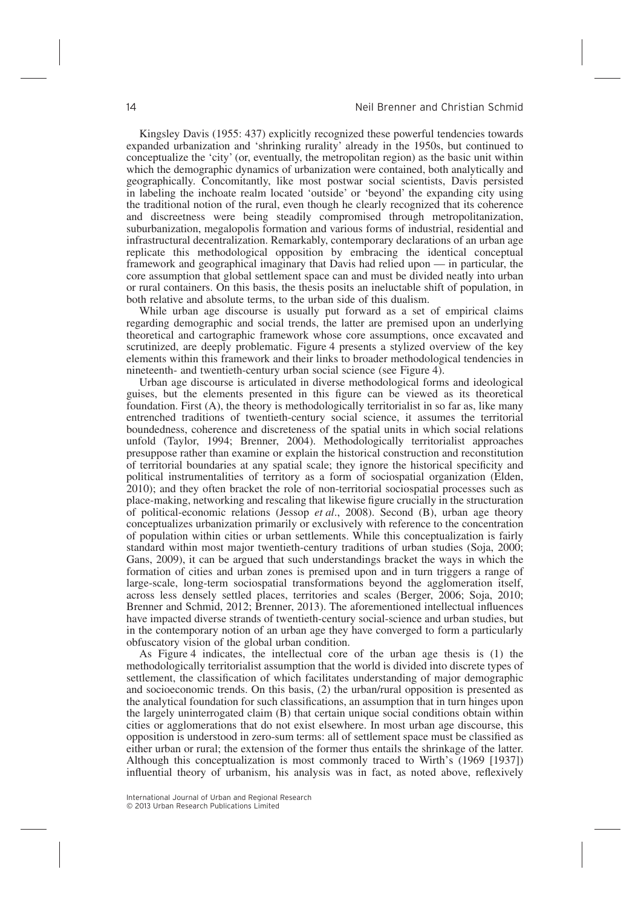Kingsley Davis (1955: 437) explicitly recognized these powerful tendencies towards expanded urbanization and 'shrinking rurality' already in the 1950s, but continued to conceptualize the 'city' (or, eventually, the metropolitan region) as the basic unit within which the demographic dynamics of urbanization were contained, both analytically and geographically. Concomitantly, like most postwar social scientists, Davis persisted in labeling the inchoate realm located 'outside' or 'beyond' the expanding city using the traditional notion of the rural, even though he clearly recognized that its coherence and discreetness were being steadily compromised through metropolitanization, suburbanization, megalopolis formation and various forms of industrial, residential and infrastructural decentralization. Remarkably, contemporary declarations of an urban age replicate this methodological opposition by embracing the identical conceptual framework and geographical imaginary that Davis had relied upon — in particular, the core assumption that global settlement space can and must be divided neatly into urban or rural containers. On this basis, the thesis posits an ineluctable shift of population, in both relative and absolute terms, to the urban side of this dualism.

While urban age discourse is usually put forward as a set of empirical claims regarding demographic and social trends, the latter are premised upon an underlying theoretical and cartographic framework whose core assumptions, once excavated and scrutinized, are deeply problematic. Figure 4 presents a stylized overview of the key elements within this framework and their links to broader methodological tendencies in nineteenth- and twentieth-century urban social science (see Figure 4).

Urban age discourse is articulated in diverse methodological forms and ideological guises, but the elements presented in this figure can be viewed as its theoretical foundation. First (A), the theory is methodologically territorialist in so far as, like many entrenched traditions of twentieth-century social science, it assumes the territorial boundedness, coherence and discreteness of the spatial units in which social relations unfold (Taylor, 1994; Brenner, 2004). Methodologically territorialist approaches presuppose rather than examine or explain the historical construction and reconstitution of territorial boundaries at any spatial scale; they ignore the historical specificity and political instrumentalities of territory as a form of sociospatial organization (Elden, 2010); and they often bracket the role of non-territorial sociospatial processes such as place-making, networking and rescaling that likewise figure crucially in the structuration of political-economic relations (Jessop *et al*., 2008). Second (B), urban age theory conceptualizes urbanization primarily or exclusively with reference to the concentration of population within cities or urban settlements. While this conceptualization is fairly standard within most major twentieth-century traditions of urban studies (Soja, 2000; Gans, 2009), it can be argued that such understandings bracket the ways in which the formation of cities and urban zones is premised upon and in turn triggers a range of large-scale, long-term sociospatial transformations beyond the agglomeration itself, across less densely settled places, territories and scales (Berger, 2006; Soja, 2010; Brenner and Schmid, 2012; Brenner, 2013). The aforementioned intellectual influences have impacted diverse strands of twentieth-century social-science and urban studies, but in the contemporary notion of an urban age they have converged to form a particularly obfuscatory vision of the global urban condition.

As Figure 4 indicates, the intellectual core of the urban age thesis is (1) the methodologically territorialist assumption that the world is divided into discrete types of settlement, the classification of which facilitates understanding of major demographic and socioeconomic trends. On this basis, (2) the urban/rural opposition is presented as the analytical foundation for such classifications, an assumption that in turn hinges upon the largely uninterrogated claim (B) that certain unique social conditions obtain within cities or agglomerations that do not exist elsewhere. In most urban age discourse, this opposition is understood in zero-sum terms: all of settlement space must be classified as either urban or rural; the extension of the former thus entails the shrinkage of the latter. Although this conceptualization is most commonly traced to Wirth's (1969 [1937]) influential theory of urbanism, his analysis was in fact, as noted above, reflexively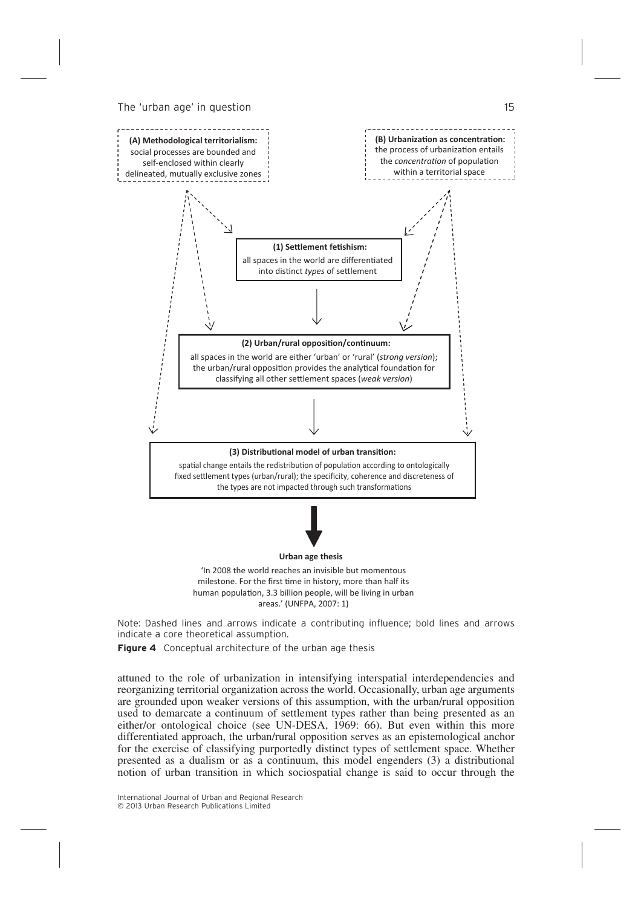

Note: Dashed lines and arrows indicate a contributing influence; bold lines and arrows indicate a core theoretical assumption.

**Figure 4** Conceptual architecture of the urban age thesis

attuned to the role of urbanization in intensifying interspatial interdependencies and reorganizing territorial organization across the world. Occasionally, urban age arguments are grounded upon weaker versions of this assumption, with the urban/rural opposition used to demarcate a continuum of settlement types rather than being presented as an either/or ontological choice (see UN-DESA, 1969: 66). But even within this more differentiated approach, the urban/rural opposition serves as an epistemological anchor for the exercise of classifying purportedly distinct types of settlement space. Whether presented as a dualism or as a continuum, this model engenders (3) a distributional notion of urban transition in which sociospatial change is said to occur through the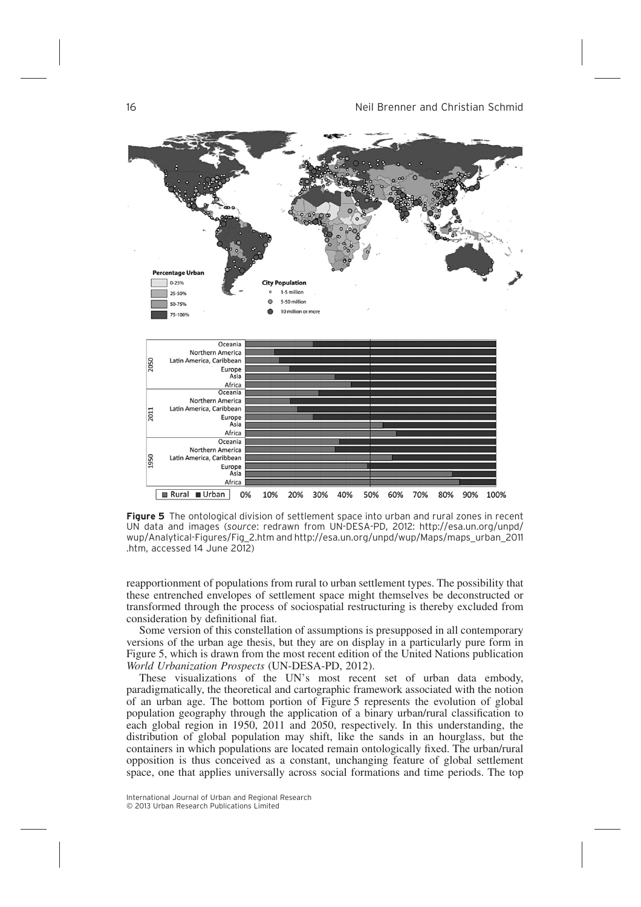

**Figure 5** The ontological division of settlement space into urban and rural zones in recent UN data and images (*source*: redrawn from UN-DESA-PD, 2012: [http://esa.un.org/unpd/](http://esa.un.org/unpd/wup/Analytical-Figures/Fig_2.htm) [wup/Analytical-Figures/Fig\\_2.htm](http://esa.un.org/unpd/wup/Analytical-Figures/Fig_2.htm) and [http://esa.un.org/unpd/wup/Maps/maps\\_urban\\_2011](http://esa.un.org/unpd/wup/Maps/maps_urban_2011.htm) [.htm,](http://esa.un.org/unpd/wup/Maps/maps_urban_2011.htm) accessed 14 June 2012)

reapportionment of populations from rural to urban settlement types. The possibility that these entrenched envelopes of settlement space might themselves be deconstructed or transformed through the process of sociospatial restructuring is thereby excluded from consideration by definitional fiat.

Some version of this constellation of assumptions is presupposed in all contemporary versions of the urban age thesis, but they are on display in a particularly pure form in Figure 5, which is drawn from the most recent edition of the United Nations publication *World Urbanization Prospects* (UN-DESA-PD, 2012).

These visualizations of the UN's most recent set of urban data embody, paradigmatically, the theoretical and cartographic framework associated with the notion of an urban age. The bottom portion of Figure 5 represents the evolution of global population geography through the application of a binary urban/rural classification to each global region in 1950, 2011 and 2050, respectively. In this understanding, the distribution of global population may shift, like the sands in an hourglass, but the containers in which populations are located remain ontologically fixed. The urban/rural opposition is thus conceived as a constant, unchanging feature of global settlement space, one that applies universally across social formations and time periods. The top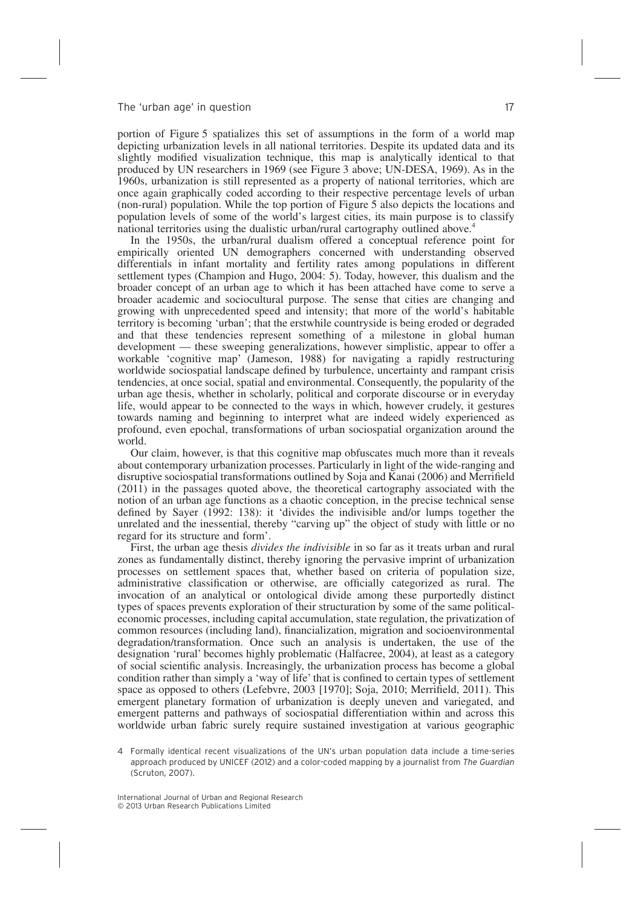portion of Figure 5 spatializes this set of assumptions in the form of a world map depicting urbanization levels in all national territories. Despite its updated data and its slightly modified visualization technique, this map is analytically identical to that produced by UN researchers in 1969 (see Figure 3 above; UN-DESA, 1969). As in the 1960s, urbanization is still represented as a property of national territories, which are once again graphically coded according to their respective percentage levels of urban (non-rural) population. While the top portion of Figure 5 also depicts the locations and population levels of some of the world's largest cities, its main purpose is to classify national territories using the dualistic urban/rural cartography outlined above.<sup>4</sup>

In the 1950s, the urban/rural dualism offered a conceptual reference point for empirically oriented UN demographers concerned with understanding observed differentials in infant mortality and fertility rates among populations in different settlement types (Champion and Hugo, 2004: 5). Today, however, this dualism and the broader concept of an urban age to which it has been attached have come to serve a broader academic and sociocultural purpose. The sense that cities are changing and growing with unprecedented speed and intensity; that more of the world's habitable territory is becoming 'urban'; that the erstwhile countryside is being eroded or degraded and that these tendencies represent something of a milestone in global human development — these sweeping generalizations, however simplistic, appear to offer a workable 'cognitive map' (Jameson, 1988) for navigating a rapidly restructuring worldwide sociospatial landscape defined by turbulence, uncertainty and rampant crisis tendencies, at once social, spatial and environmental. Consequently, the popularity of the urban age thesis, whether in scholarly, political and corporate discourse or in everyday life, would appear to be connected to the ways in which, however crudely, it gestures towards naming and beginning to interpret what are indeed widely experienced as profound, even epochal, transformations of urban sociospatial organization around the world.

Our claim, however, is that this cognitive map obfuscates much more than it reveals about contemporary urbanization processes. Particularly in light of the wide-ranging and disruptive sociospatial transformations outlined by Soja and Kanai (2006) and Merrifield (2011) in the passages quoted above, the theoretical cartography associated with the notion of an urban age functions as a chaotic conception, in the precise technical sense defined by Sayer (1992: 138): it 'divides the indivisible and/or lumps together the unrelated and the inessential, thereby "carving up" the object of study with little or no regard for its structure and form'.

First, the urban age thesis *divides the indivisible* in so far as it treats urban and rural zones as fundamentally distinct, thereby ignoring the pervasive imprint of urbanization processes on settlement spaces that, whether based on criteria of population size, administrative classification or otherwise, are officially categorized as rural. The invocation of an analytical or ontological divide among these purportedly distinct types of spaces prevents exploration of their structuration by some of the same politicaleconomic processes, including capital accumulation, state regulation, the privatization of common resources (including land), financialization, migration and socioenvironmental degradation/transformation. Once such an analysis is undertaken, the use of the designation 'rural' becomes highly problematic (Halfacree, 2004), at least as a category of social scientific analysis. Increasingly, the urbanization process has become a global condition rather than simply a 'way of life' that is confined to certain types of settlement space as opposed to others (Lefebvre, 2003 [1970]; Soja, 2010; Merrifield, 2011). This emergent planetary formation of urbanization is deeply uneven and variegated, and emergent patterns and pathways of sociospatial differentiation within and across this worldwide urban fabric surely require sustained investigation at various geographic

4 Formally identical recent visualizations of the UN's urban population data include a time-series approach produced by UNICEF (2012) and a color-coded mapping by a journalist from *The Guardian* (Scruton, 2007).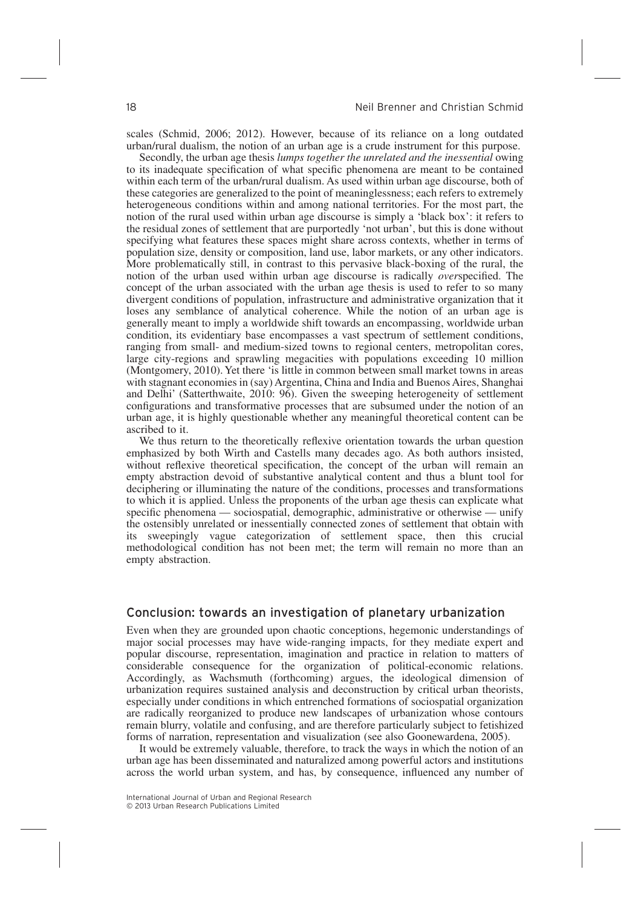scales (Schmid, 2006; 2012). However, because of its reliance on a long outdated urban/rural dualism, the notion of an urban age is a crude instrument for this purpose.

Secondly, the urban age thesis *lumps together the unrelated and the inessential* owing to its inadequate specification of what specific phenomena are meant to be contained within each term of the urban/rural dualism. As used within urban age discourse, both of these categories are generalized to the point of meaninglessness; each refers to extremely heterogeneous conditions within and among national territories. For the most part, the notion of the rural used within urban age discourse is simply a 'black box': it refers to the residual zones of settlement that are purportedly 'not urban', but this is done without specifying what features these spaces might share across contexts, whether in terms of population size, density or composition, land use, labor markets, or any other indicators. More problematically still, in contrast to this pervasive black-boxing of the rural, the notion of the urban used within urban age discourse is radically *over*specified. The concept of the urban associated with the urban age thesis is used to refer to so many divergent conditions of population, infrastructure and administrative organization that it loses any semblance of analytical coherence. While the notion of an urban age is generally meant to imply a worldwide shift towards an encompassing, worldwide urban condition, its evidentiary base encompasses a vast spectrum of settlement conditions, ranging from small- and medium-sized towns to regional centers, metropolitan cores, large city-regions and sprawling megacities with populations exceeding 10 million (Montgomery, 2010). Yet there 'is little in common between small market towns in areas with stagnant economies in (say) Argentina, China and India and Buenos Aires, Shanghai and Delhi' (Satterthwaite, 2010: 96). Given the sweeping heterogeneity of settlement configurations and transformative processes that are subsumed under the notion of an urban age, it is highly questionable whether any meaningful theoretical content can be ascribed to it.

We thus return to the theoretically reflexive orientation towards the urban question emphasized by both Wirth and Castells many decades ago. As both authors insisted, without reflexive theoretical specification, the concept of the urban will remain an empty abstraction devoid of substantive analytical content and thus a blunt tool for deciphering or illuminating the nature of the conditions, processes and transformations to which it is applied. Unless the proponents of the urban age thesis can explicate what specific phenomena — sociospatial, demographic, administrative or otherwise — unify the ostensibly unrelated or inessentially connected zones of settlement that obtain with its sweepingly vague categorization of settlement space, then this crucial methodological condition has not been met; the term will remain no more than an empty abstraction.

## Conclusion: towards an investigation of planetary urbanization

Even when they are grounded upon chaotic conceptions, hegemonic understandings of major social processes may have wide-ranging impacts, for they mediate expert and popular discourse, representation, imagination and practice in relation to matters of considerable consequence for the organization of political-economic relations. Accordingly, as Wachsmuth (forthcoming) argues, the ideological dimension of urbanization requires sustained analysis and deconstruction by critical urban theorists, especially under conditions in which entrenched formations of sociospatial organization are radically reorganized to produce new landscapes of urbanization whose contours remain blurry, volatile and confusing, and are therefore particularly subject to fetishized forms of narration, representation and visualization (see also Goonewardena, 2005).

It would be extremely valuable, therefore, to track the ways in which the notion of an urban age has been disseminated and naturalized among powerful actors and institutions across the world urban system, and has, by consequence, influenced any number of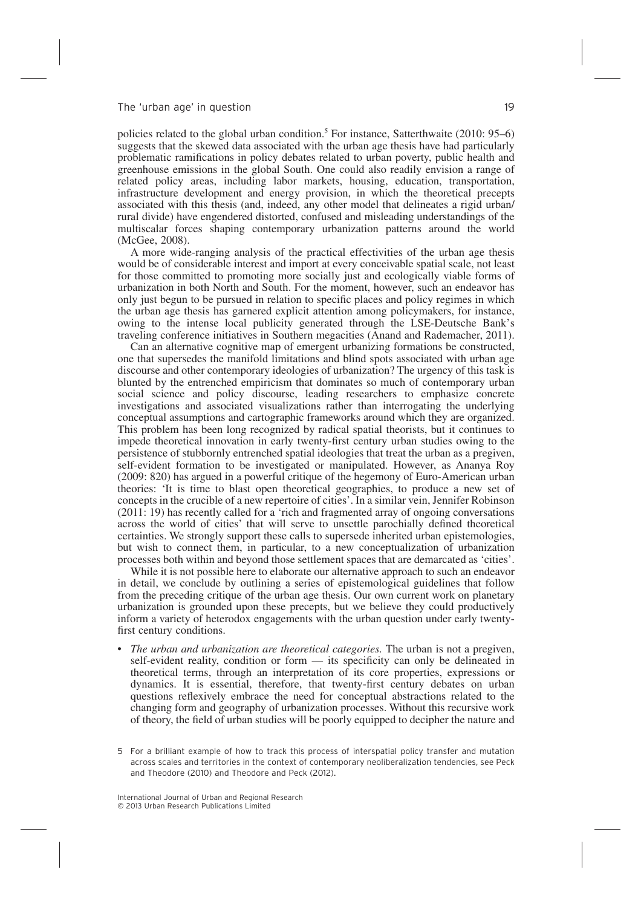policies related to the global urban condition.<sup>5</sup> For instance, Satterthwaite (2010:  $95-6$ ) suggests that the skewed data associated with the urban age thesis have had particularly problematic ramifications in policy debates related to urban poverty, public health and greenhouse emissions in the global South. One could also readily envision a range of related policy areas, including labor markets, housing, education, transportation, infrastructure development and energy provision, in which the theoretical precepts associated with this thesis (and, indeed, any other model that delineates a rigid urban/ rural divide) have engendered distorted, confused and misleading understandings of the multiscalar forces shaping contemporary urbanization patterns around the world (McGee, 2008).

A more wide-ranging analysis of the practical effectivities of the urban age thesis would be of considerable interest and import at every conceivable spatial scale, not least for those committed to promoting more socially just and ecologically viable forms of urbanization in both North and South. For the moment, however, such an endeavor has only just begun to be pursued in relation to specific places and policy regimes in which the urban age thesis has garnered explicit attention among policymakers, for instance, owing to the intense local publicity generated through the LSE-Deutsche Bank's traveling conference initiatives in Southern megacities (Anand and Rademacher, 2011).

Can an alternative cognitive map of emergent urbanizing formations be constructed, one that supersedes the manifold limitations and blind spots associated with urban age discourse and other contemporary ideologies of urbanization? The urgency of this task is blunted by the entrenched empiricism that dominates so much of contemporary urban social science and policy discourse, leading researchers to emphasize concrete investigations and associated visualizations rather than interrogating the underlying conceptual assumptions and cartographic frameworks around which they are organized. This problem has been long recognized by radical spatial theorists, but it continues to impede theoretical innovation in early twenty-first century urban studies owing to the persistence of stubbornly entrenched spatial ideologies that treat the urban as a pregiven, self-evident formation to be investigated or manipulated. However, as Ananya Roy (2009: 820) has argued in a powerful critique of the hegemony of Euro-American urban theories: 'It is time to blast open theoretical geographies, to produce a new set of concepts in the crucible of a new repertoire of cities'. In a similar vein, Jennifer Robinson (2011: 19) has recently called for a 'rich and fragmented array of ongoing conversations across the world of cities' that will serve to unsettle parochially defined theoretical certainties. We strongly support these calls to supersede inherited urban epistemologies, but wish to connect them, in particular, to a new conceptualization of urbanization processes both within and beyond those settlement spaces that are demarcated as 'cities'.

While it is not possible here to elaborate our alternative approach to such an endeavor in detail, we conclude by outlining a series of epistemological guidelines that follow from the preceding critique of the urban age thesis. Our own current work on planetary urbanization is grounded upon these precepts, but we believe they could productively inform a variety of heterodox engagements with the urban question under early twentyfirst century conditions.

• *The urban and urbanization are theoretical categories.* The urban is not a pregiven, self-evident reality, condition or form — its specificity can only be delineated in theoretical terms, through an interpretation of its core properties, expressions or dynamics. It is essential, therefore, that twenty-first century debates on urban questions reflexively embrace the need for conceptual abstractions related to the changing form and geography of urbanization processes. Without this recursive work of theory, the field of urban studies will be poorly equipped to decipher the nature and

<sup>5</sup> For a brilliant example of how to track this process of interspatial policy transfer and mutation across scales and territories in the context of contemporary neoliberalization tendencies, see Peck and Theodore (2010) and Theodore and Peck (2012).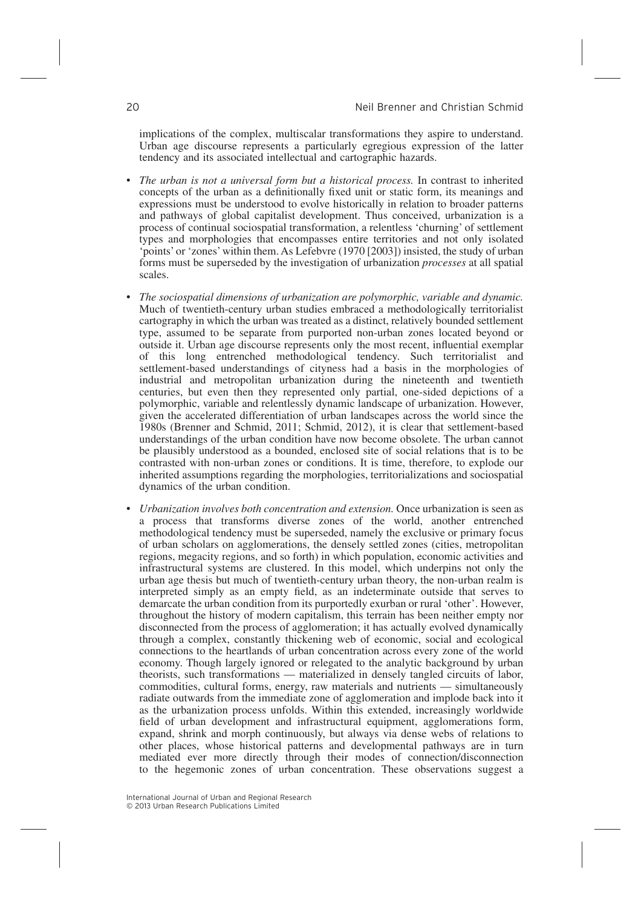implications of the complex, multiscalar transformations they aspire to understand. Urban age discourse represents a particularly egregious expression of the latter tendency and its associated intellectual and cartographic hazards.

- *The urban is not a universal form but a historical process.* In contrast to inherited concepts of the urban as a definitionally fixed unit or static form, its meanings and expressions must be understood to evolve historically in relation to broader patterns and pathways of global capitalist development. Thus conceived, urbanization is a process of continual sociospatial transformation, a relentless 'churning' of settlement types and morphologies that encompasses entire territories and not only isolated 'points' or 'zones' within them. As Lefebvre (1970 [2003]) insisted, the study of urban forms must be superseded by the investigation of urbanization *processes* at all spatial scales.
- *The sociospatial dimensions of urbanization are polymorphic, variable and dynamic.* Much of twentieth-century urban studies embraced a methodologically territorialist cartography in which the urban was treated as a distinct, relatively bounded settlement type, assumed to be separate from purported non-urban zones located beyond or outside it. Urban age discourse represents only the most recent, influential exemplar of this long entrenched methodological tendency. Such territorialist and settlement-based understandings of cityness had a basis in the morphologies of industrial and metropolitan urbanization during the nineteenth and twentieth centuries, but even then they represented only partial, one-sided depictions of a polymorphic, variable and relentlessly dynamic landscape of urbanization. However, given the accelerated differentiation of urban landscapes across the world since the 1980s (Brenner and Schmid, 2011; Schmid, 2012), it is clear that settlement-based understandings of the urban condition have now become obsolete. The urban cannot be plausibly understood as a bounded, enclosed site of social relations that is to be contrasted with non-urban zones or conditions. It is time, therefore, to explode our inherited assumptions regarding the morphologies, territorializations and sociospatial dynamics of the urban condition.
- *Urbanization involves both concentration and extension.* Once urbanization is seen as a process that transforms diverse zones of the world, another entrenched methodological tendency must be superseded, namely the exclusive or primary focus of urban scholars on agglomerations, the densely settled zones (cities, metropolitan regions, megacity regions, and so forth) in which population, economic activities and infrastructural systems are clustered. In this model, which underpins not only the urban age thesis but much of twentieth-century urban theory, the non-urban realm is interpreted simply as an empty field, as an indeterminate outside that serves to demarcate the urban condition from its purportedly exurban or rural 'other'. However, throughout the history of modern capitalism, this terrain has been neither empty nor disconnected from the process of agglomeration; it has actually evolved dynamically through a complex, constantly thickening web of economic, social and ecological connections to the heartlands of urban concentration across every zone of the world economy. Though largely ignored or relegated to the analytic background by urban theorists, such transformations — materialized in densely tangled circuits of labor, commodities, cultural forms, energy, raw materials and nutrients — simultaneously radiate outwards from the immediate zone of agglomeration and implode back into it as the urbanization process unfolds. Within this extended, increasingly worldwide field of urban development and infrastructural equipment, agglomerations form, expand, shrink and morph continuously, but always via dense webs of relations to other places, whose historical patterns and developmental pathways are in turn mediated ever more directly through their modes of connection/disconnection to the hegemonic zones of urban concentration. These observations suggest a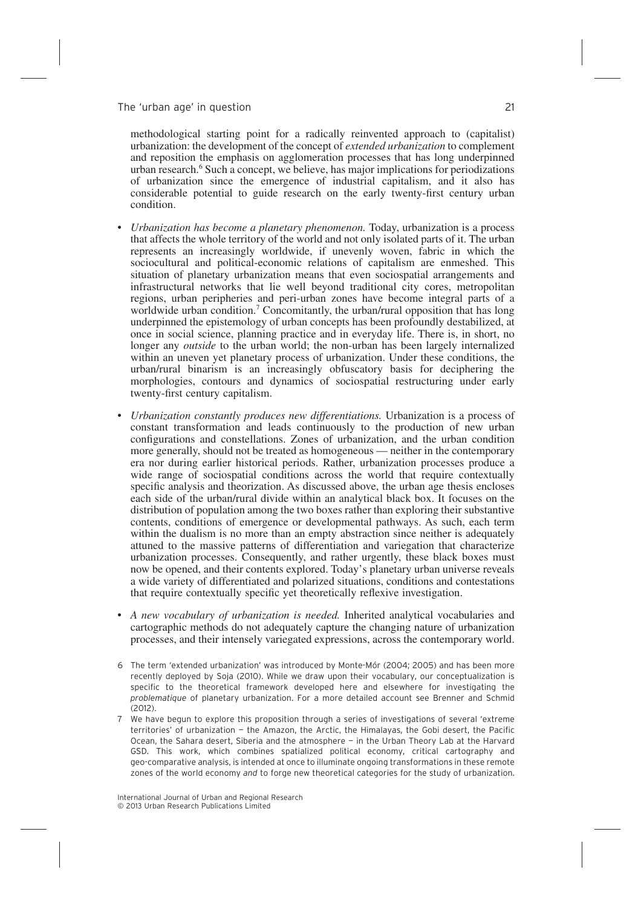methodological starting point for a radically reinvented approach to (capitalist) urbanization: the development of the concept of *extended urbanization* to complement and reposition the emphasis on agglomeration processes that has long underpinned urban research.6 Such a concept, we believe, has major implications for periodizations of urbanization since the emergence of industrial capitalism, and it also has considerable potential to guide research on the early twenty-first century urban condition.

- *Urbanization has become a planetary phenomenon.* Today, urbanization is a process that affects the whole territory of the world and not only isolated parts of it. The urban represents an increasingly worldwide, if unevenly woven, fabric in which the sociocultural and political-economic relations of capitalism are enmeshed. This situation of planetary urbanization means that even sociospatial arrangements and infrastructural networks that lie well beyond traditional city cores, metropolitan regions, urban peripheries and peri-urban zones have become integral parts of a worldwide urban condition.<sup>7</sup> Concomitantly, the urban/rural opposition that has long underpinned the epistemology of urban concepts has been profoundly destabilized, at once in social science, planning practice and in everyday life. There is, in short, no longer any *outside* to the urban world; the non-urban has been largely internalized within an uneven yet planetary process of urbanization. Under these conditions, the urban/rural binarism is an increasingly obfuscatory basis for deciphering the morphologies, contours and dynamics of sociospatial restructuring under early twenty-first century capitalism.
- *Urbanization constantly produces new differentiations.* Urbanization is a process of constant transformation and leads continuously to the production of new urban configurations and constellations. Zones of urbanization, and the urban condition more generally, should not be treated as homogeneous — neither in the contemporary era nor during earlier historical periods. Rather, urbanization processes produce a wide range of sociospatial conditions across the world that require contextually specific analysis and theorization. As discussed above, the urban age thesis encloses each side of the urban/rural divide within an analytical black box. It focuses on the distribution of population among the two boxes rather than exploring their substantive contents, conditions of emergence or developmental pathways. As such, each term within the dualism is no more than an empty abstraction since neither is adequately attuned to the massive patterns of differentiation and variegation that characterize urbanization processes. Consequently, and rather urgently, these black boxes must now be opened, and their contents explored. Today's planetary urban universe reveals a wide variety of differentiated and polarized situations, conditions and contestations that require contextually specific yet theoretically reflexive investigation.
- *A new vocabulary of urbanization is needed.* Inherited analytical vocabularies and cartographic methods do not adequately capture the changing nature of urbanization processes, and their intensely variegated expressions, across the contemporary world.
- 6 The term 'extended urbanization' was introduced by Monte-Mór (2004; 2005) and has been more recently deployed by Soja (2010). While we draw upon their vocabulary, our conceptualization is specific to the theoretical framework developed here and elsewhere for investigating the *problematique* of planetary urbanization. For a more detailed account see Brenner and Schmid (2012).
- 7 We have begun to explore this proposition through a series of investigations of several 'extreme territories' of urbanization — the Amazon, the Arctic, the Himalayas, the Gobi desert, the Pacific Ocean, the Sahara desert, Siberia and the atmosphere — in the Urban Theory Lab at the Harvard GSD. This work, which combines spatialized political economy, critical cartography and geo-comparative analysis, is intended at once to illuminate ongoing transformations in these remote zones of the world economy *and* to forge new theoretical categories for the study of urbanization.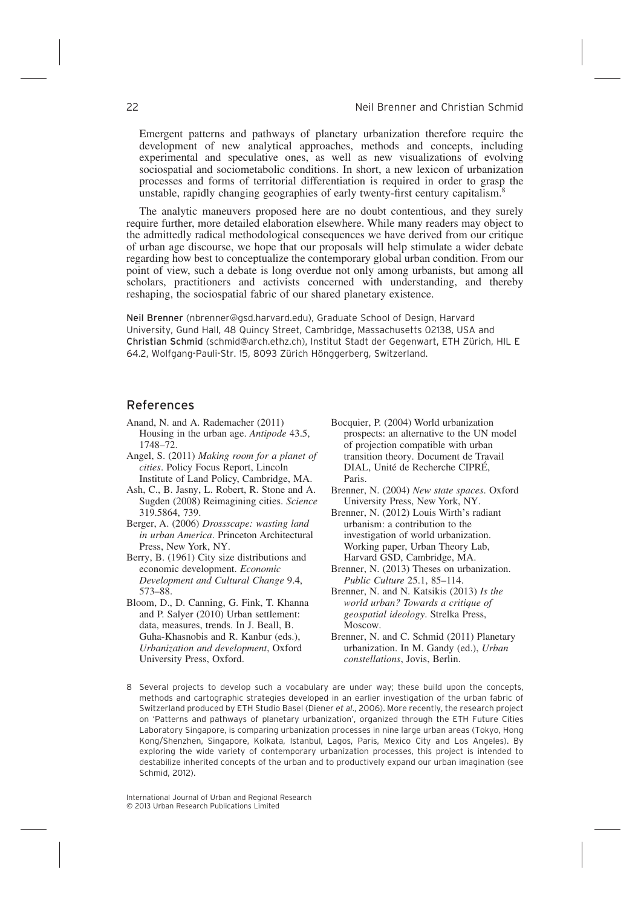Emergent patterns and pathways of planetary urbanization therefore require the development of new analytical approaches, methods and concepts, including experimental and speculative ones, as well as new visualizations of evolving sociospatial and sociometabolic conditions. In short, a new lexicon of urbanization processes and forms of territorial differentiation is required in order to grasp the unstable, rapidly changing geographies of early twenty-first century capitalism.8

The analytic maneuvers proposed here are no doubt contentious, and they surely require further, more detailed elaboration elsewhere. While many readers may object to the admittedly radical methodological consequences we have derived from our critique of urban age discourse, we hope that our proposals will help stimulate a wider debate regarding how best to conceptualize the contemporary global urban condition. From our point of view, such a debate is long overdue not only among urbanists, but among all scholars, practitioners and activists concerned with understanding, and thereby reshaping, the sociospatial fabric of our shared planetary existence.

Neil Brenner [\(nbrenner@gsd.harvard.edu\)](mailto:nbrenner@gsd.harvard.edu), Graduate School of Design, Harvard University, Gund Hall, 48 Quincy Street, Cambridge, Massachusetts 02138, USA and Christian Schmid [\(schmid@arch.ethz.ch\)](mailto:schmid@arch.ethz.ch), Institut Stadt der Gegenwart, ETH Zürich, HIL E 64.2, Wolfgang-Pauli-Str. 15, 8093 Zürich Hönggerberg, Switzerland.

## References

- Anand, N. and A. Rademacher (2011) Housing in the urban age. *Antipode* 43.5, 1748–72.
- Angel, S. (2011) *Making room for a planet of cities*. Policy Focus Report, Lincoln Institute of Land Policy, Cambridge, MA.
- Ash, C., B. Jasny, L. Robert, R. Stone and A. Sugden (2008) Reimagining cities. *Science* 319.5864, 739.
- Berger, A. (2006) *Drossscape: wasting land in urban America*. Princeton Architectural Press, New York, NY.
- Berry, B. (1961) City size distributions and economic development. *Economic Development and Cultural Change* 9.4, 573–88.
- Bloom, D., D. Canning, G. Fink, T. Khanna and P. Salyer (2010) Urban settlement: data, measures, trends. In J. Beall, B. Guha-Khasnobis and R. Kanbur (eds.), *Urbanization and development*, Oxford University Press, Oxford.
- Bocquier, P. (2004) World urbanization prospects: an alternative to the UN model of projection compatible with urban transition theory. Document de Travail DIAL, Unité de Recherche CIPRÉ, Paris.
- Brenner, N. (2004) *New state spaces*. Oxford University Press, New York, NY.
- Brenner, N. (2012) Louis Wirth's radiant urbanism: a contribution to the investigation of world urbanization. Working paper, Urban Theory Lab, Harvard GSD, Cambridge, MA.
- Brenner, N. (2013) Theses on urbanization. *Public Culture* 25.1, 85–114.
- Brenner, N. and N. Katsikis (2013) *Is the world urban? Towards a critique of geospatial ideology*. Strelka Press, Moscow.
- Brenner, N. and C. Schmid (2011) Planetary urbanization. In M. Gandy (ed.), *Urban constellations*, Jovis, Berlin.
- 8 Several projects to develop such a vocabulary are under way; these build upon the concepts, methods and cartographic strategies developed in an earlier investigation of the urban fabric of Switzerland produced by ETH Studio Basel (Diener *et al*., 2006). More recently, the research project on 'Patterns and pathways of planetary urbanization', organized through the ETH Future Cities Laboratory Singapore, is comparing urbanization processes in nine large urban areas (Tokyo, Hong Kong/Shenzhen, Singapore, Kolkata, Istanbul, Lagos, Paris, Mexico City and Los Angeles). By exploring the wide variety of contemporary urbanization processes, this project is intended to destabilize inherited concepts of the urban and to productively expand our urban imagination (see Schmid, 2012).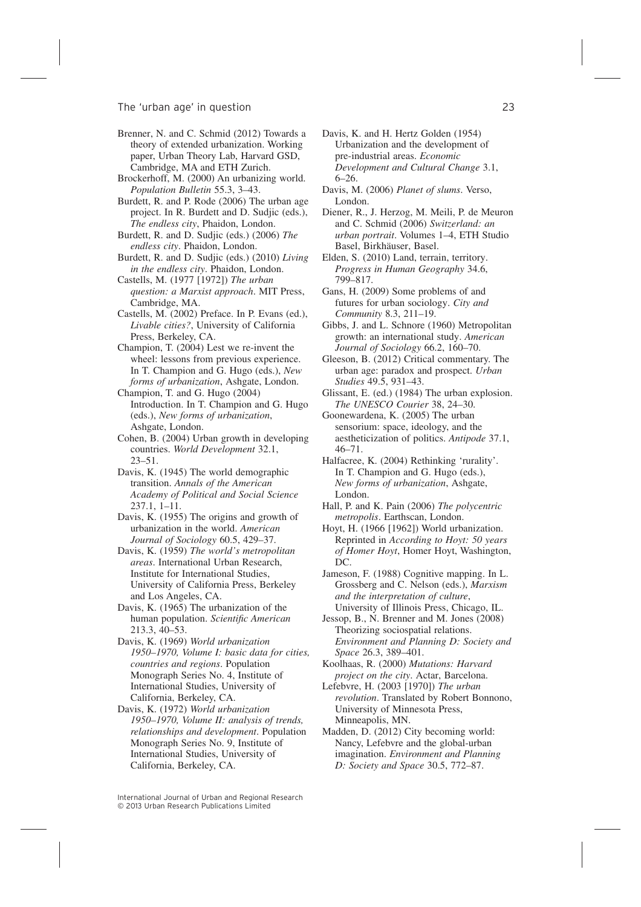- Brenner, N. and C. Schmid (2012) Towards a theory of extended urbanization. Working paper, Urban Theory Lab, Harvard GSD, Cambridge, MA and ETH Zurich.
- Brockerhoff, M. (2000) An urbanizing world. *Population Bulletin* 55.3, 3–43.

Burdett, R. and P. Rode (2006) The urban age project. In R. Burdett and D. Sudjic (eds.), *The endless city*, Phaidon, London.

Burdett, R. and D. Sudjic (eds.) (2006) *The endless city*. Phaidon, London.

Burdett, R. and D. Sudjic (eds.) (2010) *Living in the endless city*. Phaidon, London.

Castells, M. (1977 [1972]) *The urban question: a Marxist approach*. MIT Press, Cambridge, MA.

Castells, M. (2002) Preface. In P. Evans (ed.), *Livable cities?*, University of California Press, Berkeley, CA.

Champion, T. (2004) Lest we re-invent the wheel: lessons from previous experience. In T. Champion and G. Hugo (eds.), *New forms of urbanization*, Ashgate, London.

Champion, T. and G. Hugo (2004) Introduction. In T. Champion and G. Hugo (eds.), *New forms of urbanization*, Ashgate, London.

Cohen, B. (2004) Urban growth in developing countries. *World Development* 32.1, 23–51.

Davis, K. (1945) The world demographic transition. *Annals of the American Academy of Political and Social Science* 237.1, 1–11.

Davis, K. (1955) The origins and growth of urbanization in the world. *American Journal of Sociology* 60.5, 429–37.

Davis, K. (1959) *The world's metropolitan areas*. International Urban Research, Institute for International Studies, University of California Press, Berkeley and Los Angeles, CA.

Davis, K. (1965) The urbanization of the human population. *Scientific American* 213.3, 40–53.

Davis, K. (1969) *World urbanization 1950–1970, Volume I: basic data for cities, countries and regions*. Population Monograph Series No. 4, Institute of International Studies, University of California, Berkeley, CA.

Davis, K. (1972) *World urbanization 1950–1970, Volume II: analysis of trends, relationships and development*. Population Monograph Series No. 9, Institute of International Studies, University of California, Berkeley, CA.

Davis, K. and H. Hertz Golden (1954) Urbanization and the development of pre-industrial areas. *Economic Development and Cultural Change* 3.1, 6–26.

Davis, M. (2006) *Planet of slums*. Verso, London.

Diener, R., J. Herzog, M. Meili, P. de Meuron and C. Schmid (2006) *Switzerland: an urban portrait*. Volumes 1–4, ETH Studio Basel, Birkhäuser, Basel.

- Elden, S. (2010) Land, terrain, territory. *Progress in Human Geography* 34.6, 799–817.
- Gans, H. (2009) Some problems of and futures for urban sociology. *City and Community* 8.3, 211–19.

Gibbs, J. and L. Schnore (1960) Metropolitan growth: an international study. *American Journal of Sociology* 66.2, 160–70.

Gleeson, B. (2012) Critical commentary. The urban age: paradox and prospect. *Urban Studies* 49.5, 931–43.

Glissant, E. (ed.) (1984) The urban explosion. *The UNESCO Courier* 38, 24–30.

Goonewardena, K. (2005) The urban sensorium: space, ideology, and the aestheticization of politics. *Antipode* 37.1, 46–71.

Halfacree, K. (2004) Rethinking 'rurality'. In T. Champion and G. Hugo (eds.), *New forms of urbanization*, Ashgate, London.

Hall, P. and K. Pain (2006) *The polycentric metropolis*. Earthscan, London.

Hoyt, H. (1966 [1962]) World urbanization. Reprinted in *According to Hoyt: 50 years of Homer Hoyt*, Homer Hoyt, Washington, DC.

Jameson, F. (1988) Cognitive mapping. In L. Grossberg and C. Nelson (eds.), *Marxism and the interpretation of culture*, University of Illinois Press, Chicago, IL.

Jessop, B., N. Brenner and M. Jones (2008) Theorizing sociospatial relations. *Environment and Planning D: Society and Space* 26.3, 389–401.

Koolhaas, R. (2000) *Mutations: Harvard project on the city*. Actar, Barcelona.

Lefebvre, H. (2003 [1970]) *The urban revolution*. Translated by Robert Bonnono, University of Minnesota Press, Minneapolis, MN.

Madden, D. (2012) City becoming world: Nancy, Lefebvre and the global-urban imagination. *Environment and Planning D: Society and Space* 30.5, 772–87.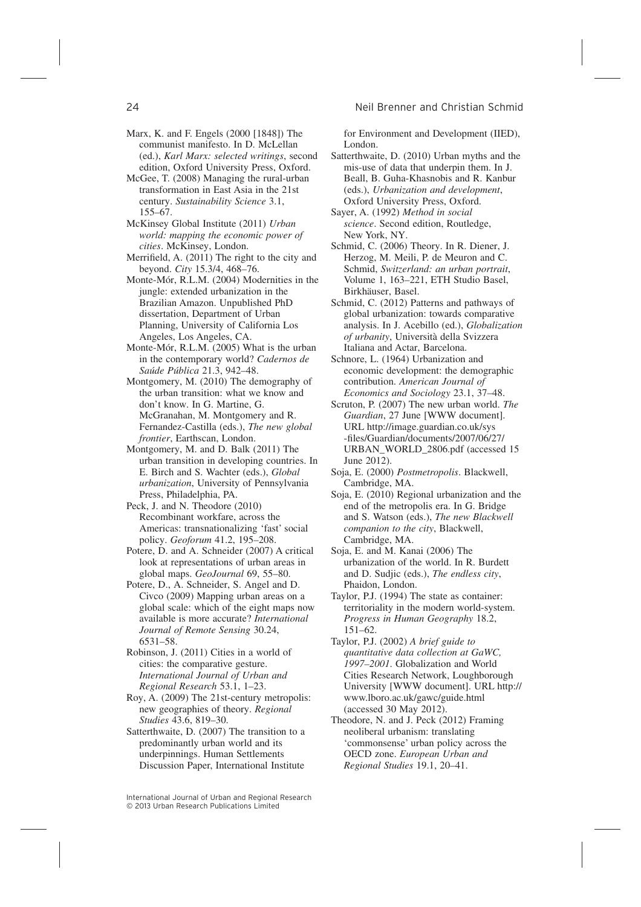- Marx, K. and F. Engels (2000 [1848]) The communist manifesto. In D. McLellan (ed.), *Karl Marx: selected writings*, second edition, Oxford University Press, Oxford.
- McGee, T. (2008) Managing the rural-urban transformation in East Asia in the 21st century. *Sustainability Science* 3.1, 155–67.
- McKinsey Global Institute (2011) *Urban world: mapping the economic power of cities*. McKinsey, London.
- Merrifield, A. (2011) The right to the city and beyond. *City* 15.3/4, 468–76.
- Monte-Mór, R.L.M. (2004) Modernities in the jungle: extended urbanization in the Brazilian Amazon. Unpublished PhD dissertation, Department of Urban Planning, University of California Los Angeles, Los Angeles, CA.
- Monte-Mór, R.L.M. (2005) What is the urban in the contemporary world? *Cadernos de Saúde Pública* 21.3, 942–48.
- Montgomery, M. (2010) The demography of the urban transition: what we know and don't know. In G. Martine, G. McGranahan, M. Montgomery and R. Fernandez-Castilla (eds.), *The new global frontier*, Earthscan, London.
- Montgomery, M. and D. Balk (2011) The urban transition in developing countries. In E. Birch and S. Wachter (eds.), *Global urbanization*, University of Pennsylvania Press, Philadelphia, PA.
- Peck, J. and N. Theodore (2010) Recombinant workfare, across the Americas: transnationalizing 'fast' social policy. *Geoforum* 41.2, 195–208.
- Potere, D. and A. Schneider (2007) A critical look at representations of urban areas in global maps. *GeoJournal* 69, 55–80.
- Potere, D., A. Schneider, S. Angel and D. Civco (2009) Mapping urban areas on a global scale: which of the eight maps now available is more accurate? *International Journal of Remote Sensing* 30.24, 6531–58.
- Robinson, J. (2011) Cities in a world of cities: the comparative gesture. *International Journal of Urban and Regional Research* 53.1, 1–23.
- Roy, A. (2009) The 21st-century metropolis: new geographies of theory. *Regional Studies* 43.6, 819–30.
- Satterthwaite, D. (2007) The transition to a predominantly urban world and its underpinnings. Human Settlements Discussion Paper, International Institute

for Environment and Development (IIED), London.

- Satterthwaite, D. (2010) Urban myths and the mis-use of data that underpin them. In J. Beall, B. Guha-Khasnobis and R. Kanbur (eds.), *Urbanization and development*, Oxford University Press, Oxford.
- Sayer, A. (1992) *Method in social science*. Second edition, Routledge, New York, NY.
- Schmid, C. (2006) Theory. In R. Diener, J. Herzog, M. Meili, P. de Meuron and C. Schmid, *Switzerland: an urban portrait*, Volume 1, 163–221, ETH Studio Basel, Birkhäuser, Basel.
- Schmid, C. (2012) Patterns and pathways of global urbanization: towards comparative analysis. In J. Acebillo (ed.), *Globalization of urbanity*, Università della Svizzera Italiana and Actar, Barcelona.
- Schnore, L. (1964) Urbanization and economic development: the demographic contribution. *American Journal of Economics and Sociology* 23.1, 37–48.
- Scruton, P. (2007) The new urban world. *The Guardian*, 27 June [WWW document]. URL [http://image.guardian.co.uk/sys](http://image.guardian.co.uk/sys-files/Guardian/documents/2007/06/27/URBAN_WORLD_2806.pdf) [-files/Guardian/documents/2007/06/27/](http://image.guardian.co.uk/sys-files/Guardian/documents/2007/06/27/URBAN_WORLD_2806.pdf) [URBAN\\_WORLD\\_2806.pdf](http://image.guardian.co.uk/sys-files/Guardian/documents/2007/06/27/URBAN_WORLD_2806.pdf) (accessed 15 June 2012).
- Soja, E. (2000) *Postmetropolis*. Blackwell, Cambridge, MA.
- Soja, E. (2010) Regional urbanization and the end of the metropolis era. In G. Bridge and S. Watson (eds.), *The new Blackwell companion to the city*, Blackwell, Cambridge, MA.
- Soja, E. and M. Kanai (2006) The urbanization of the world. In R. Burdett and D. Sudjic (eds.), *The endless city*, Phaidon, London.
- Taylor, P.J. (1994) The state as container: territoriality in the modern world-system. *Progress in Human Geography* 18.2, 151–62.
- Taylor, P.J. (2002) *A brief guide to quantitative data collection at GaWC, 1997–2001*. Globalization and World Cities Research Network, Loughborough University [WWW document]. URL [http://](http://www.lboro.ac.uk/gawc/guide.html) [www.lboro.ac.uk/gawc/guide.html](http://www.lboro.ac.uk/gawc/guide.html) (accessed 30 May 2012).
- Theodore, N. and J. Peck (2012) Framing neoliberal urbanism: translating 'commonsense' urban policy across the OECD zone. *European Urban and Regional Studies* 19.1, 20–41.